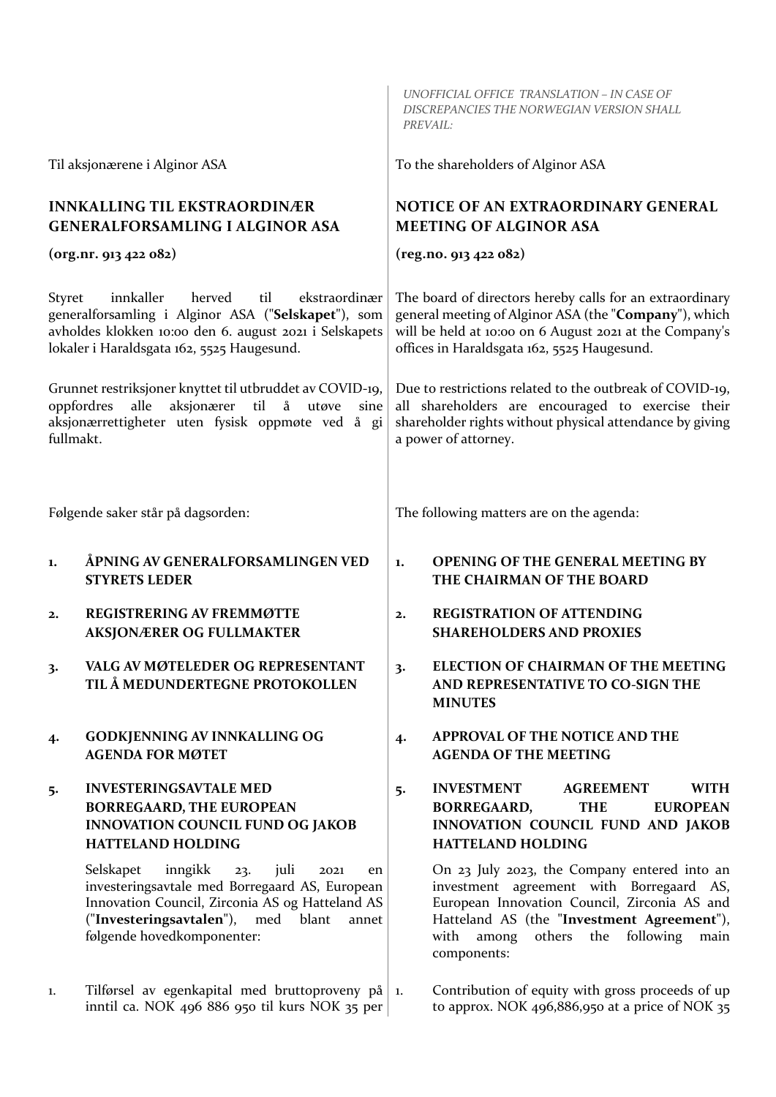|                                                                                                                                                                                                                     |                                                                                                                                                                                                                                           |    | UNOFFICIAL OFFICE TRANSLATION - IN CASE OF<br>DISCREPANCIES THE NORWEGIAN VERSION SHALL<br>PREVAIL:                                                                                                                                                          |
|---------------------------------------------------------------------------------------------------------------------------------------------------------------------------------------------------------------------|-------------------------------------------------------------------------------------------------------------------------------------------------------------------------------------------------------------------------------------------|----|--------------------------------------------------------------------------------------------------------------------------------------------------------------------------------------------------------------------------------------------------------------|
|                                                                                                                                                                                                                     | Til aksjonærene i Alginor ASA                                                                                                                                                                                                             |    | To the shareholders of Alginor ASA                                                                                                                                                                                                                           |
| <b>INNKALLING TIL EKSTRAORDINÆR</b><br><b>GENERALFORSAMLING I ALGINOR ASA</b>                                                                                                                                       |                                                                                                                                                                                                                                           |    | <b>NOTICE OF AN EXTRAORDINARY GENERAL</b><br><b>MEETING OF ALGINOR ASA</b>                                                                                                                                                                                   |
| (org.nr. 913 422 082)                                                                                                                                                                                               |                                                                                                                                                                                                                                           |    | (reg.no. 913 422 082)                                                                                                                                                                                                                                        |
| innkaller<br>herved<br>til<br>ekstraordinær<br>Styret<br>generalforsamling i Alginor ASA ("Selskapet"), som<br>avholdes klokken 10:00 den 6. august 2021 i Selskapets<br>lokaler i Haraldsgata 162, 5525 Haugesund. |                                                                                                                                                                                                                                           |    | The board of directors hereby calls for an extraordinary<br>general meeting of Alginor ASA (the "Company"), which<br>will be held at 10:00 on 6 August 2021 at the Company's<br>offices in Haraldsgata 162, 5525 Haugesund.                                  |
| Grunnet restriksjoner knyttet til utbruddet av COVID-19,<br>aksjonærer til<br>å<br>oppfordres<br>alle<br>utøve<br>sine<br>aksjonærrettigheter uten fysisk oppmøte ved å gi<br>fullmakt.                             |                                                                                                                                                                                                                                           |    | Due to restrictions related to the outbreak of COVID-19,<br>all shareholders are encouraged to exercise their<br>shareholder rights without physical attendance by giving<br>a power of attorney.                                                            |
| Følgende saker står på dagsorden:                                                                                                                                                                                   |                                                                                                                                                                                                                                           |    | The following matters are on the agenda:                                                                                                                                                                                                                     |
| 1.                                                                                                                                                                                                                  | ÅPNING AV GENERALFORSAMLINGEN VED<br><b>STYRETS LEDER</b>                                                                                                                                                                                 | 1. | <b>OPENING OF THE GENERAL MEETING BY</b><br>THE CHAIRMAN OF THE BOARD                                                                                                                                                                                        |
| 2.                                                                                                                                                                                                                  | <b>REGISTRERING AV FREMMØTTE</b><br><b>AKSJONÆRER OG FULLMAKTER</b>                                                                                                                                                                       | 2. | <b>REGISTRATION OF ATTENDING</b><br><b>SHAREHOLDERS AND PROXIES</b>                                                                                                                                                                                          |
| 3.                                                                                                                                                                                                                  | VALG AV MØTELEDER OG REPRESENTANT<br>TIL Å MEDUNDERTEGNE PROTOKOLLEN                                                                                                                                                                      | 3. | ELECTION OF CHAIRMAN OF THE MEETING<br>AND REPRESENTATIVE TO CO-SIGN THE<br><b>MINUTES</b>                                                                                                                                                                   |
| 4.                                                                                                                                                                                                                  | <b>GODKJENNING AV INNKALLING OG</b><br><b>AGENDA FOR MØTET</b>                                                                                                                                                                            | 4. | APPROVAL OF THE NOTICE AND THE<br><b>AGENDA OF THE MEETING</b>                                                                                                                                                                                               |
| 5.                                                                                                                                                                                                                  | <b>INVESTERINGSAVTALE MED</b><br><b>BORREGAARD, THE EUROPEAN</b><br><b>INNOVATION COUNCIL FUND OG JAKOB</b><br><b>HATTELAND HOLDING</b>                                                                                                   | 5. | <b>INVESTMENT</b><br><b>AGREEMENT</b><br><b>WITH</b><br><b>THE</b><br><b>EUROPEAN</b><br><b>BORREGAARD,</b><br>INNOVATION COUNCIL FUND AND JAKOB<br><b>HATTELAND HOLDING</b>                                                                                 |
|                                                                                                                                                                                                                     | Selskapet<br>inngikk<br>juli<br>23.<br>2021<br>en<br>investeringsavtale med Borregaard AS, European<br>Innovation Council, Zirconia AS og Hatteland AS<br>("Investeringsavtalen"),<br>med<br>blant<br>annet<br>følgende hovedkomponenter: |    | On 23 July 2023, the Company entered into an<br>investment agreement with Borregaard AS,<br>European Innovation Council, Zirconia AS and<br>Hatteland AS (the "Investment Agreement"),<br>following<br>others<br>the<br>with<br>among<br>main<br>components: |
| 1.                                                                                                                                                                                                                  | Tilførsel av egenkapital med bruttoproveny på $ i\rangle$<br>inntil ca. NOK 496 886 950 til kurs NOK 35 per                                                                                                                               |    | Contribution of equity with gross proceeds of up<br>to approx. NOK 496,886,950 at a price of NOK 35                                                                                                                                                          |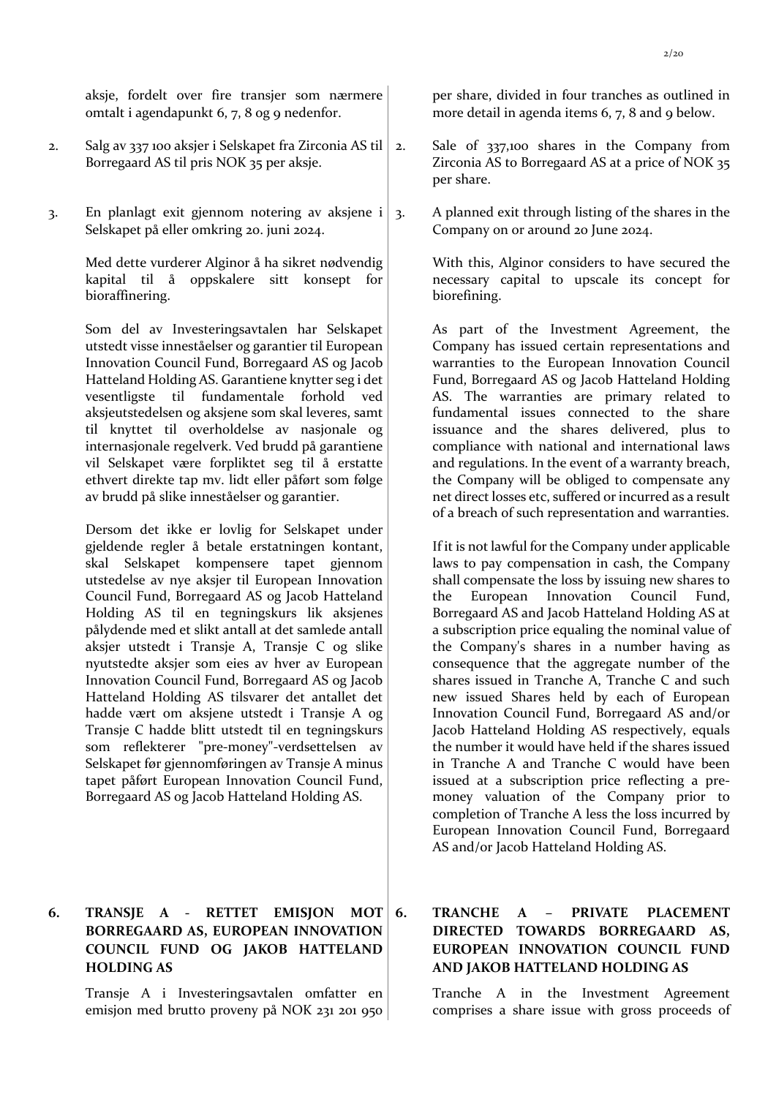aksje, fordelt over fire transjer som nærmere omtalt i agendapunkt 6, 7, 8 og 9 nedenfor.

- 2. Salg av 337 100 aksjer i Selskapet fra Zirconia AS til Borregaard AS til pris NOK 35 per aksje.
- 3. En planlagt exit gjennom notering av aksjene i Selskapet på eller omkring 20. juni 2024.

Med dette vurderer Alginor å ha sikret nødvendig kapital til å oppskalere sitt konsept for bioraffinering.

Som del av Investeringsavtalen har Selskapet utstedt visse inneståelser og garantier til European Innovation Council Fund, Borregaard AS og Jacob Hatteland Holding AS. Garantiene knytter seg i det vesentligste til fundamentale forhold ved aksjeutstedelsen og aksjene som skal leveres, samt til knyttet til overholdelse av nasjonale og internasjonale regelverk. Ved brudd på garantiene vil Selskapet være forpliktet seg til å erstatte ethvert direkte tap mv. lidt eller påført som følge av brudd på slike inneståelser og garantier.

Dersom det ikke er lovlig for Selskapet under gjeldende regler å betale erstatningen kontant, skal Selskapet kompensere tapet gjennom utstedelse av nye aksjer til European Innovation Council Fund, Borregaard AS og Jacob Hatteland Holding AS til en tegningskurs lik aksjenes pålydende med et slikt antall at det samlede antall aksjer utstedt i Transje A, Transje C og slike nyutstedte aksjer som eies av hver av European Innovation Council Fund, Borregaard AS og Jacob Hatteland Holding AS tilsvarer det antallet det hadde vært om aksjene utstedt i Transje A og Transje C hadde blitt utstedt til en tegningskurs som reflekterer "pre-money"-verdsettelsen av Selskapet før gjennomføringen av Transje A minus tapet påført European Innovation Council Fund, Borregaard AS og Jacob Hatteland Holding AS.

## **6. TRANSJE A - RETTET EMISJON MOT BORREGAARD AS, EUROPEAN INNOVATION COUNCIL FUND OG JAKOB HATTELAND HOLDING AS**

Transje A i Investeringsavtalen omfatter en emisjon med brutto proveny på NOK 231 201 950 per share, divided in four tranches as outlined in more detail in agenda items 6, 7, 8 and 9 below.

- 2. Sale of 337,100 shares in the Company from Zirconia AS to Borregaard AS at a price of NOK 35 per share.
- 3. A planned exit through listing of the shares in the Company on or around 20 June 2024.

With this, Alginor considers to have secured the necessary capital to upscale its concept for biorefining.

As part of the Investment Agreement, the Company has issued certain representations and warranties to the European Innovation Council Fund, Borregaard AS og Jacob Hatteland Holding AS. The warranties are primary related to fundamental issues connected to the share issuance and the shares delivered, plus to compliance with national and international laws and regulations. In the event of a warranty breach, the Company will be obliged to compensate any net direct losses etc, suffered or incurred as a result of a breach of such representation and warranties.

If it is not lawful for the Company under applicable laws to pay compensation in cash, the Company shall compensate the loss by issuing new shares to the European Innovation Council Fund, Borregaard AS and Jacob Hatteland Holding AS at a subscription price equaling the nominal value of the Company's shares in a number having as consequence that the aggregate number of the shares issued in Tranche A, Tranche C and such new issued Shares held by each of European Innovation Council Fund, Borregaard AS and/or Jacob Hatteland Holding AS respectively, equals the number it would have held if the shares issued in Tranche A and Tranche C would have been issued at a subscription price reflecting a premoney valuation of the Company prior to completion of Tranche A less the loss incurred by European Innovation Council Fund, Borregaard AS and/or Jacob Hatteland Holding AS.

## **6. TRANCHE A – PRIVATE PLACEMENT DIRECTED TOWARDS BORREGAARD AS, EUROPEAN INNOVATION COUNCIL FUND AND JAKOB HATTELAND HOLDING AS**

Tranche A in the Investment Agreement comprises a share issue with gross proceeds of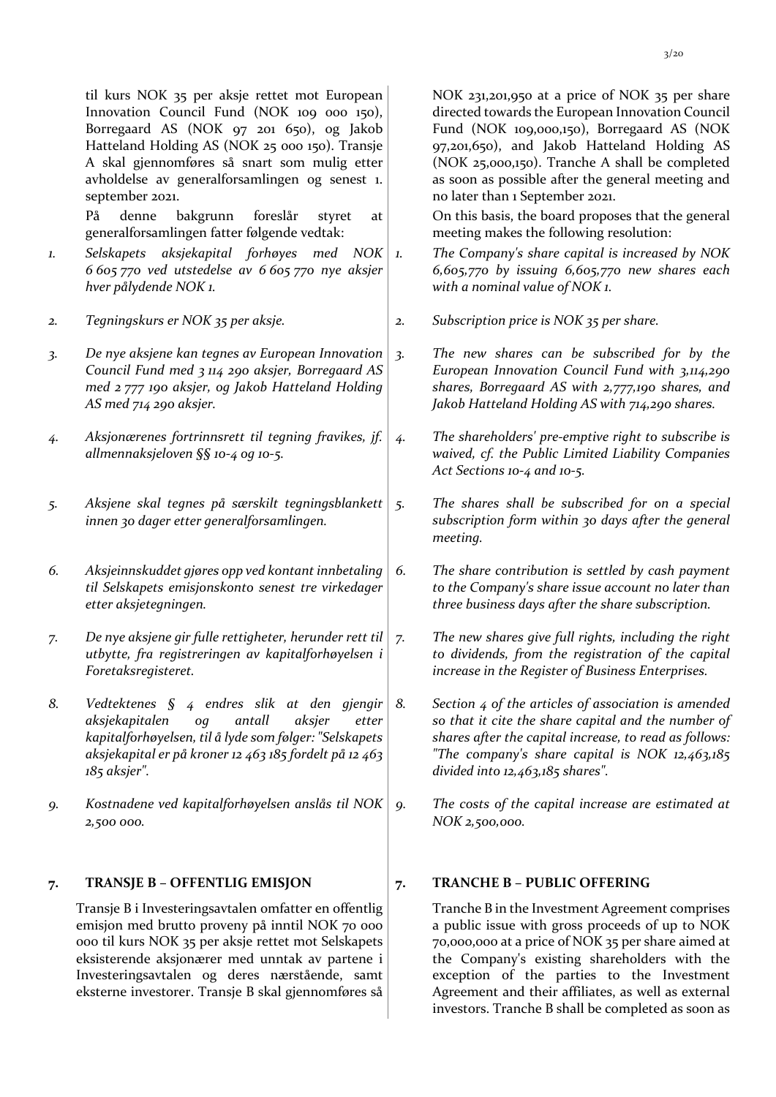til kurs NOK 35 per aksje rettet mot European Innovation Council Fund (NOK 109 000 150), Borregaard AS (NOK 97 201 650), og Jakob Hatteland Holding AS (NOK 25 000 150). Transje A skal gjennomføres så snart som mulig etter avholdelse av generalforsamlingen og senest 1. september 2021.

På denne bakgrunn foreslår styret at generalforsamlingen fatter følgende vedtak:

*1. Selskapets aksjekapital forhøyes med NOK 6 605 770 ved utstedelse av 6 605 770 nye aksjer hver pålydende NOK 1.*

*2. Tegningskurs er NOK 35 per aksje. 2. Subscription price is NOK 35 per share.*

- *3. De nye aksjene kan tegnes av European Innovation Council Fund med 3 114 290 aksjer, Borregaard AS med 2 777 190 aksjer, og Jakob Hatteland Holding AS med 714 290 aksjer.*
- *4. Aksjonærenes fortrinnsrett til tegning fravikes, jf. allmennaksjeloven §§ 10-4 og 10-5.*
- *5. Aksjene skal tegnes på særskilt tegningsblankett innen 30 dager etter generalforsamlingen.*
- *6. Aksjeinnskuddet gjøres opp ved kontant innbetaling til Selskapets emisjonskonto senest tre virkedager etter aksjetegningen.*
- *7. De nye aksjene gir fulle rettigheter, herunder rett til utbytte, fra registreringen av kapitalforhøyelsen i Foretaksregisteret.*
- *8. Vedtektenes § 4 endres slik at den gjengir aksjekapitalen og antall aksjer etter kapitalforhøyelsen, til å lyde som følger: "Selskapets aksjekapital er på kroner 12 463 185 fordelt på 12 463 185 aksjer".*
- *9. Kostnadene ved kapitalforhøyelsen anslås til NOK 2,500 000.*

### **7. TRANSJE B – OFFENTLIG EMISJON 7. TRANCHE B – PUBLIC OFFERING**

Transje B i Investeringsavtalen omfatter en offentlig emisjon med brutto proveny på inntil NOK 70 000 000 til kurs NOK 35 per aksje rettet mot Selskapets eksisterende aksjonærer med unntak av partene i Investeringsavtalen og deres nærstående, samt eksterne investorer. Transje B skal gjennomføres så

NOK 231,201,950 at a price of NOK 35 per share directed towards the European Innovation Council Fund (NOK 109,000,150), Borregaard AS (NOK 97,201,650), and Jakob Hatteland Holding AS (NOK 25,000,150). Tranche A shall be completed as soon as possible after the general meeting and no later than 1 September 2021.

On this basis, the board proposes that the general meeting makes the following resolution:

- *1. The Company's share capital is increased by NOK 6,605,770 by issuing 6,605,770 new shares each with a nominal value of NOK 1.*
- 
- *3. The new shares can be subscribed for by the European Innovation Council Fund with 3,114,290 shares, Borregaard AS with 2,777,190 shares, and Jakob Hatteland Holding AS with 714,290 shares.*
- *4. The shareholders' pre-emptive right to subscribe is waived, cf. the Public Limited Liability Companies Act Sections 10-4 and 10-5.*
- *5. The shares shall be subscribed for on a special subscription form within 30 days after the general meeting.*
- *6. The share contribution is settled by cash payment to the Company's share issue account no later than three business days after the share subscription.*
- *7. The new shares give full rights, including the right to dividends, from the registration of the capital increase in the Register of Business Enterprises.*
- *8. Section 4 of the articles of association is amended so that it cite the share capital and the number of shares after the capital increase, to read as follows: "The company's share capital is NOK 12,463,185 divided into 12,463,185 shares".*
- *9. The costs of the capital increase are estimated at NOK 2,500,000.*

Tranche B in the Investment Agreement comprises a public issue with gross proceeds of up to NOK 70,000,000 at a price of NOK 35 per share aimed at the Company's existing shareholders with the exception of the parties to the Investment Agreement and their affiliates, as well as external investors. Tranche B shall be completed as soon as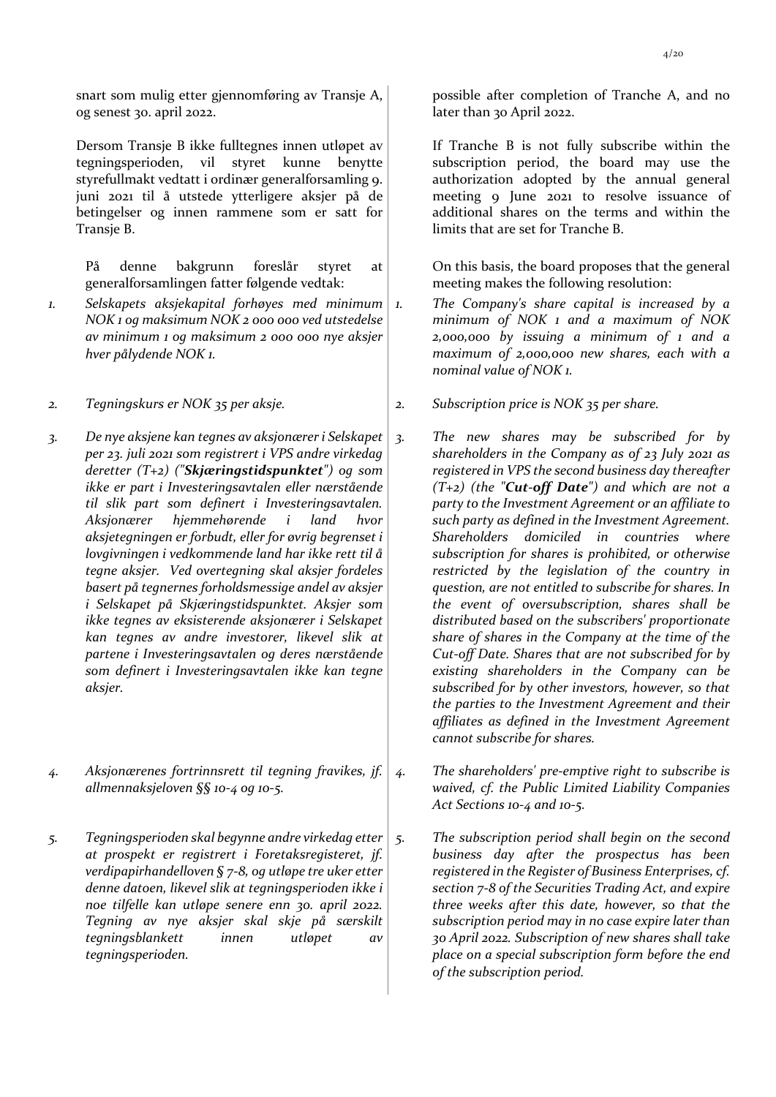snart som mulig etter gjennomføring av Transje A, og senest 30. april 2022.

Dersom Transje B ikke fulltegnes innen utløpet av tegningsperioden, vil styret kunne benytte styrefullmakt vedtatt i ordinær generalforsamling 9. juni 2021 til å utstede ytterligere aksjer på de betingelser og innen rammene som er satt for Transje B.

På denne bakgrunn foreslår styret at generalforsamlingen fatter følgende vedtak:

- *1. Selskapets aksjekapital forhøyes med minimum NOK 1 og maksimum NOK 2 000 000 ved utstedelse av minimum 1 og maksimum 2 000 000 nye aksjer hver pålydende NOK 1.*
- 
- *3. De nye aksjene kan tegnes av aksjonærer i Selskapet per 23. juli 2021 som registrert i VPS andre virkedag deretter (T+2) ("Skjæringstidspunktet") og som ikke er part i Investeringsavtalen eller nærstående til slik part som definert i Investeringsavtalen. Aksjonærer hjemmehørende i land hvor aksjetegningen er forbudt, eller for øvrig begrenset i lovgivningen i vedkommende land har ikke rett til å tegne aksjer. Ved overtegning skal aksjer fordeles basert på tegnernes forholdsmessige andel av aksjer i Selskapet på Skjæringstidspunktet. Aksjer som ikke tegnes av eksisterende aksjonærer i Selskapet kan tegnes av andre investorer, likevel slik at partene i Investeringsavtalen og deres nærstående som definert i Investeringsavtalen ikke kan tegne aksjer.*
- *4. Aksjonærenes fortrinnsrett til tegning fravikes, jf. allmennaksjeloven §§ 10-4 og 10-5.*
- *5. Tegningsperioden skal begynne andre virkedag etter at prospekt er registrert i Foretaksregisteret, jf. verdipapirhandelloven § 7-8, og utløpe tre uker etter denne datoen, likevel slik at tegningsperioden ikke i noe tilfelle kan utløpe senere enn 30. april 2022. Tegning av nye aksjer skal skje på særskilt tegningsblankett innen utløpet av tegningsperioden.*

possible after completion of Tranche A, and no later than 30 April 2022.

If Tranche B is not fully subscribe within the subscription period, the board may use the authorization adopted by the annual general meeting 9 June 2021 to resolve issuance of additional shares on the terms and within the limits that are set for Tranche B.

On this basis, the board proposes that the general meeting makes the following resolution:

- *1. The Company's share capital is increased by a minimum of NOK 1 and a maximum of NOK 2,000,000 by issuing a minimum of 1 and a maximum of 2,000,000 new shares, each with a nominal value of NOK 1.*
- *2. Tegningskurs er NOK 35 per aksje. 2. Subscription price is NOK 35 per share.*
	- *3. The new shares may be subscribed for by shareholders in the Company as of 23 July 2021 as registered in VPS the second business day thereafter (T+2) (the "Cut-off Date") and which are not a party to the Investment Agreement or an affiliate to such party as defined in the Investment Agreement. Shareholders domiciled in countries where subscription for shares is prohibited, or otherwise restricted by the legislation of the country in question, are not entitled to subscribe for shares. In the event of oversubscription, shares shall be distributed based on the subscribers' proportionate share of shares in the Company at the time of the Cut-off Date. Shares that are not subscribed for by existing shareholders in the Company can be subscribed for by other investors, however, so that the parties to the Investment Agreement and their affiliates as defined in the Investment Agreement cannot subscribe for shares.*
	- *4. The shareholders' pre-emptive right to subscribe is waived, cf. the Public Limited Liability Companies Act Sections 10-4 and 10-5.*
	- *5. The subscription period shall begin on the second business day after the prospectus has been registered in the Register of Business Enterprises, cf. section 7-8 of the Securities Trading Act, and expire three weeks after this date, however, so that the subscription period may in no case expire later than 30 April 2022. Subscription of new shares shall take place on a special subscription form before the end of the subscription period.*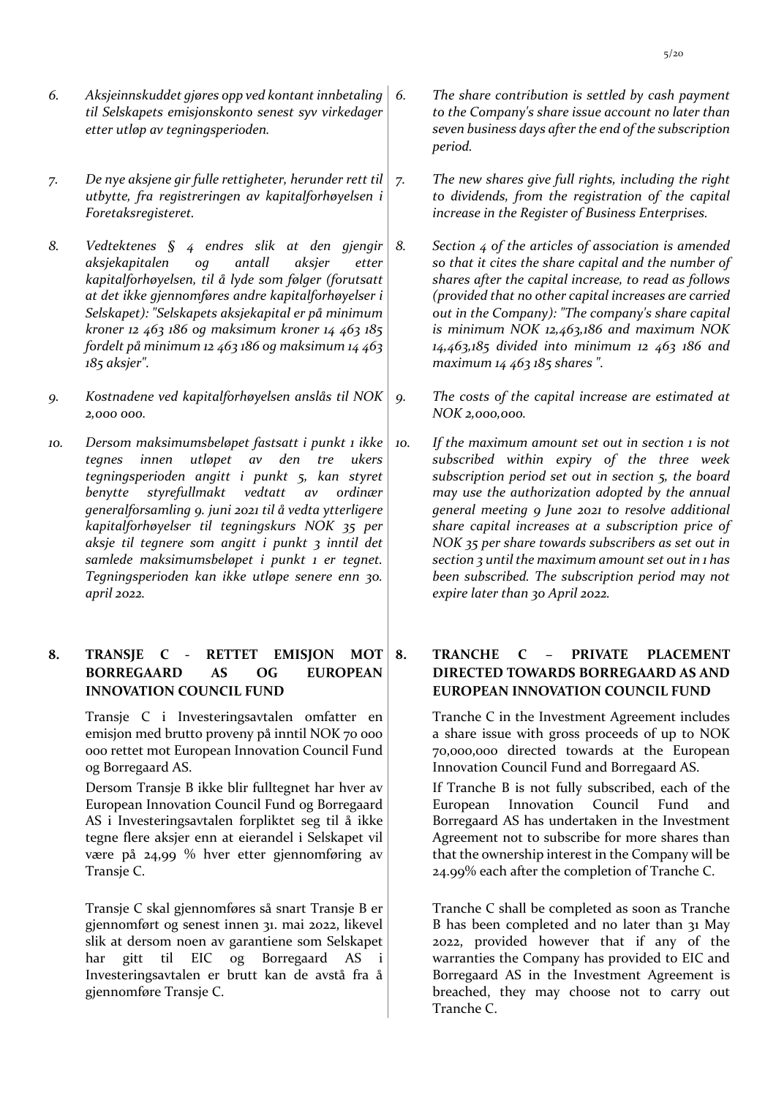- *6. Aksjeinnskuddet gjøres opp ved kontant innbetaling til Selskapets emisjonskonto senest syv virkedager etter utløp av tegningsperioden.*
- *7. De nye aksjene gir fulle rettigheter, herunder rett til utbytte, fra registreringen av kapitalforhøyelsen i Foretaksregisteret.*
- *8. Vedtektenes § 4 endres slik at den gjengir aksjekapitalen og antall aksjer etter kapitalforhøyelsen, til å lyde som følger (forutsatt at det ikke gjennomføres andre kapitalforhøyelser i Selskapet): "Selskapets aksjekapital er på minimum kroner 12 463 186 og maksimum kroner 14 463 185 fordelt på minimum 12 463 186 og maksimum 14 463 185 aksjer".*
- *9. Kostnadene ved kapitalforhøyelsen anslås til NOK 2,000 000.*
- *10. Dersom maksimumsbeløpet fastsatt i punkt 1 ikke tegnes innen utløpet av den tre ukers tegningsperioden angitt i punkt 5, kan styret benytte styrefullmakt vedtatt av ordinær generalforsamling 9. juni 2021 til å vedta ytterligere kapitalforhøyelser til tegningskurs NOK 35 per aksje til tegnere som angitt i punkt 3 inntil det samlede maksimumsbeløpet i punkt 1 er tegnet. Tegningsperioden kan ikke utløpe senere enn 30. april 2022.*

## **8. TRANSJE C - RETTET EMISJON MOT BORREGAARD AS OG EUROPEAN INNOVATION COUNCIL FUND**

Transje C i Investeringsavtalen omfatter en emisjon med brutto proveny på inntil NOK 70 000 000 rettet mot European Innovation Council Fund og Borregaard AS.

Dersom Transje B ikke blir fulltegnet har hver av European Innovation Council Fund og Borregaard AS i Investeringsavtalen forpliktet seg til å ikke tegne flere aksjer enn at eierandel i Selskapet vil være på 24,99 % hver etter gjennomføring av Transje C.

Transje C skal gjennomføres så snart Transje B er gjennomført og senest innen 31. mai 2022, likevel slik at dersom noen av garantiene som Selskapet har gitt til EIC og Borregaard AS i Investeringsavtalen er brutt kan de avstå fra å gjennomføre Transje C.

- *6. The share contribution is settled by cash payment to the Company's share issue account no later than seven business days after the end of the subscription period.*
- *7. The new shares give full rights, including the right to dividends, from the registration of the capital increase in the Register of Business Enterprises.*
- *8. Section 4 of the articles of association is amended so that it cites the share capital and the number of shares after the capital increase, to read as follows (provided that no other capital increases are carried out in the Company): "The company's share capital is minimum NOK 12,463,186 and maximum NOK 14,463,185 divided into minimum 12 463 186 and maximum 14 463 185 shares ".*
- *9. The costs of the capital increase are estimated at NOK 2,000,000.*
- *10. If the maximum amount set out in section 1 is not subscribed within expiry of the three week subscription period set out in section 5, the board may use the authorization adopted by the annual general meeting 9 June 2021 to resolve additional share capital increases at a subscription price of NOK 35 per share towards subscribers as set out in section 3 until the maximum amount set out in 1 has been subscribed. The subscription period may not expire later than 30 April 2022.*

## **8. TRANCHE C – PRIVATE PLACEMENT DIRECTED TOWARDS BORREGAARD AS AND EUROPEAN INNOVATION COUNCIL FUND**

Tranche C in the Investment Agreement includes a share issue with gross proceeds of up to NOK 70,000,000 directed towards at the European Innovation Council Fund and Borregaard AS.

If Tranche B is not fully subscribed, each of the European Innovation Council Fund and Borregaard AS has undertaken in the Investment Agreement not to subscribe for more shares than that the ownership interest in the Company will be 24.99% each after the completion of Tranche C.

Tranche C shall be completed as soon as Tranche B has been completed and no later than 31 May 2022, provided however that if any of the warranties the Company has provided to EIC and Borregaard AS in the Investment Agreement is breached, they may choose not to carry out Tranche C.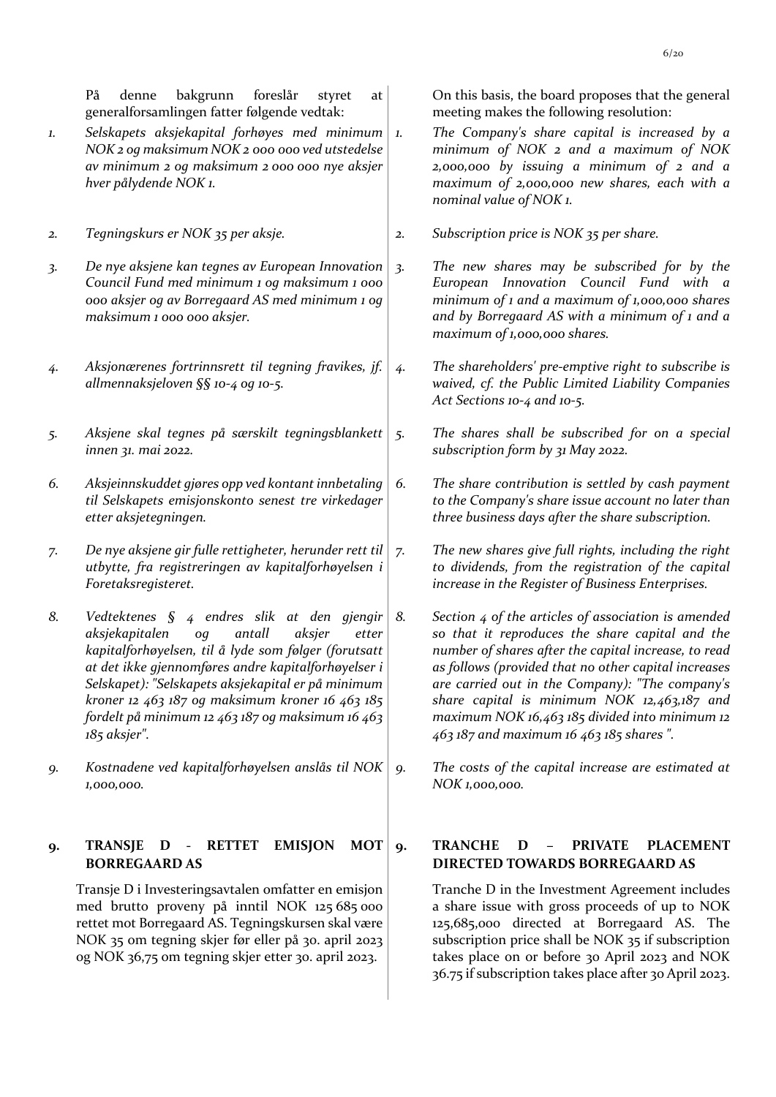På denne bakgrunn foreslår styret at generalforsamlingen fatter følgende vedtak:

- *1. Selskapets aksjekapital forhøyes med minimum NOK 2 og maksimum NOK 2 000 000 ved utstedelse av minimum 2 og maksimum 2 000 000 nye aksjer hver pålydende NOK 1.*
- 
- *3. De nye aksjene kan tegnes av European Innovation Council Fund med minimum 1 og maksimum 1 000 000 aksjer og av Borregaard AS med minimum 1 og maksimum 1 000 000 aksjer.*
- *4. Aksjonærenes fortrinnsrett til tegning fravikes, jf. allmennaksjeloven §§ 10-4 og 10-5.*
- *5. Aksjene skal tegnes på særskilt tegningsblankett innen 31. mai 2022.*
- *6. Aksjeinnskuddet gjøres opp ved kontant innbetaling til Selskapets emisjonskonto senest tre virkedager etter aksjetegningen.*
- *7. De nye aksjene gir fulle rettigheter, herunder rett til utbytte, fra registreringen av kapitalforhøyelsen i Foretaksregisteret.*
- *8. Vedtektenes § 4 endres slik at den gjengir aksjekapitalen og antall aksjer etter kapitalforhøyelsen, til å lyde som følger (forutsatt at det ikke gjennomføres andre kapitalforhøyelser i Selskapet): "Selskapets aksjekapital er på minimum kroner 12 463 187 og maksimum kroner 16 463 185 fordelt på minimum 12 463 187 og maksimum 16 463 185 aksjer".*
- *9. Kostnadene ved kapitalforhøyelsen anslås til NOK 1,000,000.*

#### **9. TRANSJE D - RETTET EMISJON MOT BORREGAARD AS**

Transje D i Investeringsavtalen omfatter en emisjon med brutto proveny på inntil NOK 125 685 000 rettet mot Borregaard AS. Tegningskursen skal være NOK 35 om tegning skjer før eller på 30. april 2023 og NOK 36,75 om tegning skjer etter 30. april 2023.

On this basis, the board proposes that the general meeting makes the following resolution:

- *1. The Company's share capital is increased by a minimum of NOK 2 and a maximum of NOK 2,000,000 by issuing a minimum of 2 and a maximum of 2,000,000 new shares, each with a nominal value of NOK 1.*
- *2. Tegningskurs er NOK 35 per aksje. 2. Subscription price is NOK 35 per share.*
	- *3. The new shares may be subscribed for by the European Innovation Council Fund with a minimum of 1 and a maximum of 1,000,000 shares and by Borregaard AS with a minimum of 1 and a maximum of 1,000,000 shares.*
	- *4. The shareholders' pre-emptive right to subscribe is waived, cf. the Public Limited Liability Companies Act Sections 10-4 and 10-5.*
	- *5. The shares shall be subscribed for on a special subscription form by 31 May 2022.*
	- *6. The share contribution is settled by cash payment to the Company's share issue account no later than three business days after the share subscription.*
	- *7. The new shares give full rights, including the right to dividends, from the registration of the capital increase in the Register of Business Enterprises.*
	- *8. Section 4 of the articles of association is amended so that it reproduces the share capital and the number of shares after the capital increase, to read as follows (provided that no other capital increases are carried out in the Company): "The company's share capital is minimum NOK 12,463,187 and maximum NOK 16,463 185 divided into minimum 12 463 187 and maximum 16 463 185 shares ".*
	- *9. The costs of the capital increase are estimated at NOK 1,000,000.*

### **9. TRANCHE D – PRIVATE PLACEMENT DIRECTED TOWARDS BORREGAARD AS**

Tranche D in the Investment Agreement includes a share issue with gross proceeds of up to NOK 125,685,000 directed at Borregaard AS. The subscription price shall be NOK 35 if subscription takes place on or before 30 April 2023 and NOK 36.75 if subscription takes place after 30 April 2023.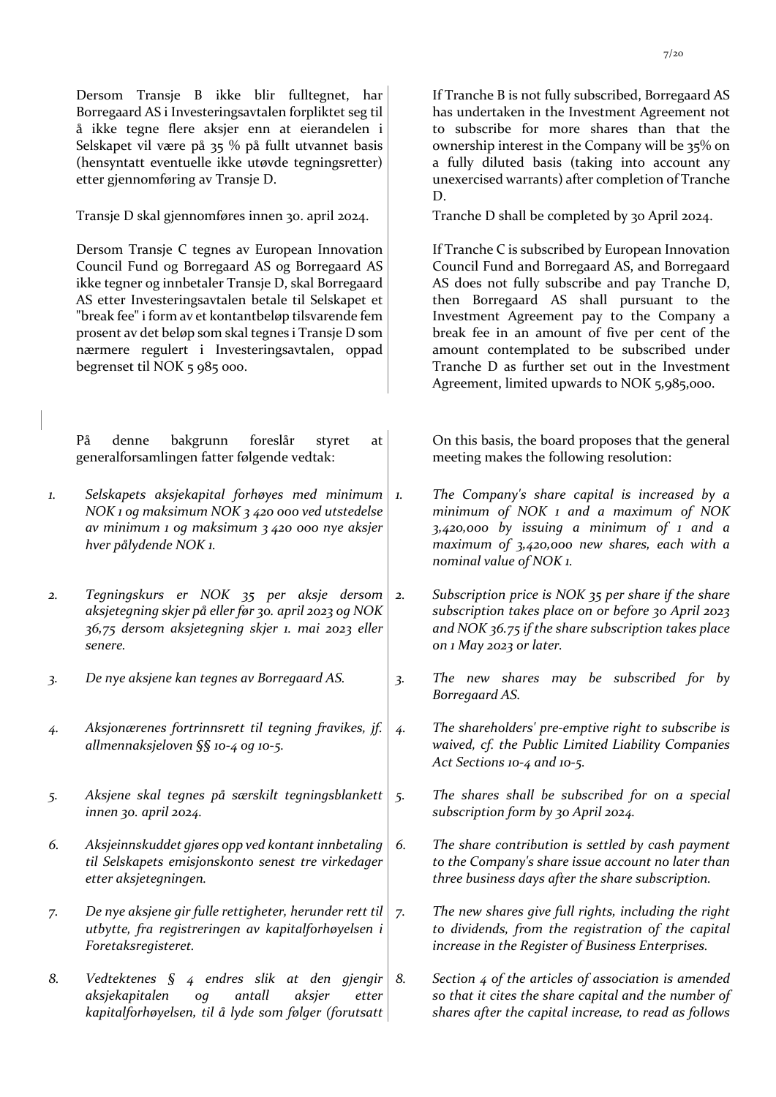Dersom Transje B ikke blir fulltegnet, har Borregaard AS i Investeringsavtalen forpliktet seg til å ikke tegne flere aksjer enn at eierandelen i Selskapet vil være på 35 % på fullt utvannet basis (hensyntatt eventuelle ikke utøvde tegningsretter) etter gjennomføring av Transje D.

Transje D skal gjennomføres innen 30. april 2024.

Dersom Transje C tegnes av European Innovation Council Fund og Borregaard AS og Borregaard AS ikke tegner og innbetaler Transje D, skal Borregaard AS etter Investeringsavtalen betale til Selskapet et "break fee" i form av et kontantbeløp tilsvarende fem prosent av det beløp som skal tegnes i Transje D som nærmere regulert i Investeringsavtalen, oppad begrenset til NOK 5 985 000.

På denne bakgrunn foreslår styret at generalforsamlingen fatter følgende vedtak:

- *1. Selskapets aksjekapital forhøyes med minimum NOK 1 og maksimum NOK 3 420 000 ved utstedelse av minimum 1 og maksimum 3 420 000 nye aksjer hver pålydende NOK 1.*
- *2. Tegningskurs er NOK 35 per aksje dersom aksjetegning skjer på eller før 30. april 2023 og NOK 36,75 dersom aksjetegning skjer 1. mai 2023 eller senere.*
- 
- *4. Aksjonærenes fortrinnsrett til tegning fravikes, jf. allmennaksjeloven §§ 10-4 og 10-5.*
- *5. Aksjene skal tegnes på særskilt tegningsblankett innen 30. april 2024.*
- *6. Aksjeinnskuddet gjøres opp ved kontant innbetaling til Selskapets emisjonskonto senest tre virkedager etter aksjetegningen.*
- *7. De nye aksjene gir fulle rettigheter, herunder rett til utbytte, fra registreringen av kapitalforhøyelsen i Foretaksregisteret.*
- *8. Vedtektenes § 4 endres slik at den gjengir aksjekapitalen og antall aksjer etter kapitalforhøyelsen, til å lyde som følger (forutsatt*

If Tranche B is not fully subscribed, Borregaard AS has undertaken in the Investment Agreement not to subscribe for more shares than that the ownership interest in the Company will be 35% on a fully diluted basis (taking into account any unexercised warrants) after completion of Tranche D.

Tranche D shall be completed by 30 April 2024.

If Tranche C is subscribed by European Innovation Council Fund and Borregaard AS, and Borregaard AS does not fully subscribe and pay Tranche D, then Borregaard AS shall pursuant to the Investment Agreement pay to the Company a break fee in an amount of five per cent of the amount contemplated to be subscribed under Tranche D as further set out in the Investment Agreement, limited upwards to NOK 5,985,000.

On this basis, the board proposes that the general meeting makes the following resolution:

- *1. The Company's share capital is increased by a minimum of NOK 1 and a maximum of NOK 3,420,000 by issuing a minimum of 1 and a maximum of 3,420,000 new shares, each with a nominal value of NOK 1.*
- *2. Subscription price is NOK 35 per share if the share subscription takes place on or before 30 April 2023 and NOK 36.75 if the share subscription takes place on 1 May 2023 or later.*
- *3. De nye aksjene kan tegnes av Borregaard AS. 3. The new shares may be subscribed for by Borregaard AS.*
	- *4. The shareholders' pre-emptive right to subscribe is waived, cf. the Public Limited Liability Companies Act Sections 10-4 and 10-5.*
	- *5. The shares shall be subscribed for on a special subscription form by 30 April 2024.*
	- *6. The share contribution is settled by cash payment to the Company's share issue account no later than three business days after the share subscription.*
	- *7. The new shares give full rights, including the right to dividends, from the registration of the capital increase in the Register of Business Enterprises.*
	- *8. Section 4 of the articles of association is amended so that it cites the share capital and the number of shares after the capital increase, to read as follows*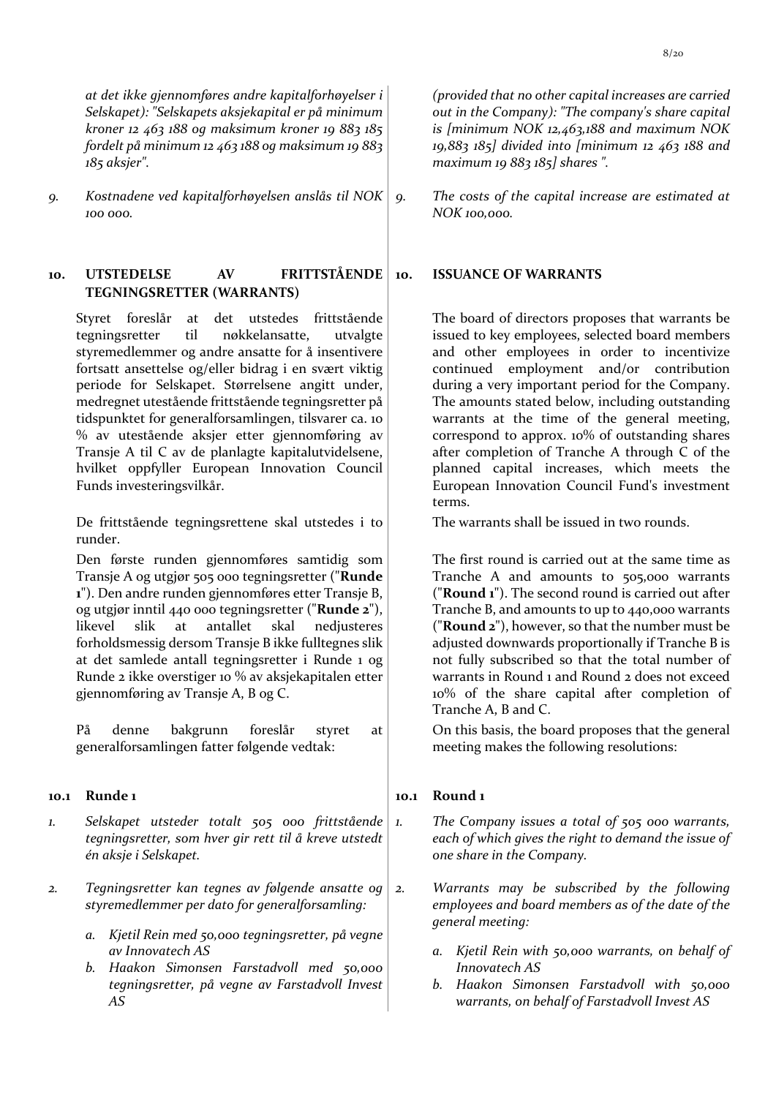*at det ikke gjennomføres andre kapitalforhøyelser i Selskapet): "Selskapets aksjekapital er på minimum kroner 12 463 188 og maksimum kroner 19 883 185 fordelt på minimum 12 463 188 og maksimum 19 883 185 aksjer".* 

*9. Kostnadene ved kapitalforhøyelsen anslås til NOK 100 000.*

### **10. UTSTEDELSE AV FRITTSTÅENDE TEGNINGSRETTER (WARRANTS)**

Styret foreslår at det utstedes frittstående tegningsretter til nøkkelansatte, utvalgte styremedlemmer og andre ansatte for å insentivere fortsatt ansettelse og/eller bidrag i en svært viktig periode for Selskapet. Størrelsene angitt under, medregnet utestående frittstående tegningsretter på tidspunktet for generalforsamlingen, tilsvarer ca. 10 % av utestående aksjer etter gjennomføring av Transje A til C av de planlagte kapitalutvidelsene, hvilket oppfyller European Innovation Council Funds investeringsvilkår.

De frittstående tegningsrettene skal utstedes i to runder.

Den første runden gjennomføres samtidig som Transje A og utgjør 505 000 tegningsretter ("**Runde 1**"). Den andre runden gjennomføres etter Transje B, og utgjør inntil 440 000 tegningsretter ("**Runde 2**"), likevel slik at antallet skal nedjusteres forholdsmessig dersom Transje B ikke fulltegnes slik at det samlede antall tegningsretter i Runde 1 og Runde 2 ikke overstiger 10 % av aksjekapitalen etter gjennomføring av Transje A, B og C.

På denne bakgrunn foreslår styret at generalforsamlingen fatter følgende vedtak:

### **10.1 Runde 1 10.1 Round 1**

- *1. Selskapet utsteder totalt 505 000 frittstående tegningsretter, som hver gir rett til å kreve utstedt én aksje i Selskapet.*
- *2. Tegningsretter kan tegnes av følgende ansatte og styremedlemmer per dato for generalforsamling:* 
	- *a. Kjetil Rein med 50,000 tegningsretter, på vegne av Innovatech AS*
	- *b. Haakon Simonsen Farstadvoll med 50,000 tegningsretter, på vegne av Farstadvoll Invest AS*

*(provided that no other capital increases are carried out in the Company): "The company's share capital is [minimum NOK 12,463,188 and maximum NOK 19,883 185] divided into [minimum 12 463 188 and maximum 19 883 185] shares ".*

*9. The costs of the capital increase are estimated at NOK 100,000.*

#### **10. ISSUANCE OF WARRANTS**

The board of directors proposes that warrants be issued to key employees, selected board members and other employees in order to incentivize continued employment and/or contribution during a very important period for the Company. The amounts stated below, including outstanding warrants at the time of the general meeting, correspond to approx. 10% of outstanding shares after completion of Tranche A through C of the planned capital increases, which meets the European Innovation Council Fund's investment terms.

The warrants shall be issued in two rounds.

The first round is carried out at the same time as Tranche A and amounts to 505,000 warrants ("**Round 1**"). The second round is carried out after Tranche B, and amounts to up to 440,000 warrants ("**Round 2**"), however, so that the number must be adjusted downwards proportionally if Tranche B is not fully subscribed so that the total number of warrants in Round 1 and Round 2 does not exceed 10% of the share capital after completion of Tranche A, B and C.

On this basis, the board proposes that the general meeting makes the following resolutions:

- *1. The Company issues a total of 505 000 warrants, each of which gives the right to demand the issue of one share in the Company.*
- *2. Warrants may be subscribed by the following employees and board members as of the date of the general meeting:*
	- *a. Kjetil Rein with 50,000 warrants, on behalf of Innovatech AS*
	- *b. Haakon Simonsen Farstadvoll with 50,000 warrants, on behalf of Farstadvoll Invest AS*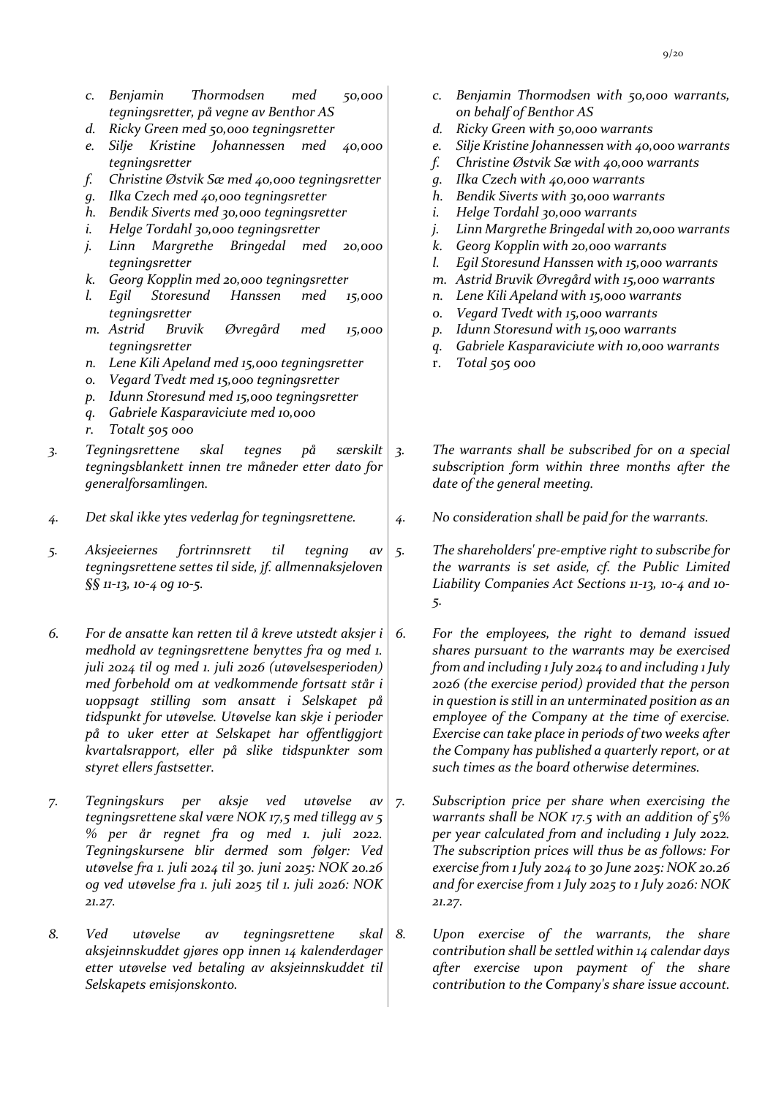- *c. Benjamin Thormodsen med 50,000 tegningsretter, på vegne av Benthor AS*
- *d. Ricky Green med 50,000 tegningsretter*
- *e. Silje Kristine Johannessen med 40,000 tegningsretter*
- *f. Christine Østvik Sæ med 40,000 tegningsretter*
- *g. Ilka Czech med 40,000 tegningsretter*
- *h. Bendik Siverts med 30,000 tegningsretter*
- *i. Helge Tordahl 30,000 tegningsretter*
- *j. Linn Margrethe Bringedal med 20,000 tegningsretter*
- *k. Georg Kopplin med 20,000 tegningsretter*
- *l. Egil Storesund Hanssen med 15,000 tegningsretter*
- *m. Astrid Bruvik Øvregård med 15,000 tegningsretter*
- *n. Lene Kili Apeland med 15,000 tegningsretter*
- *o. Vegard Tvedt med 15,000 tegningsretter*
- *p. Idunn Storesund med 15,000 tegningsretter*
- *q. Gabriele Kasparaviciute med 10,000*
- *r. Totalt 505 000*
- *3. Tegningsrettene skal tegnes på særskilt tegningsblankett innen tre måneder etter dato for generalforsamlingen.*
- *4. Det skal ikke ytes vederlag for tegningsrettene. 4. No consideration shall be paid for the warrants.*
- *5. Aksjeeiernes fortrinnsrett til tegning av tegningsrettene settes til side, jf. allmennaksjeloven §§ 11-13, 10-4 og 10-5.*
- *6. For de ansatte kan retten til å kreve utstedt aksjer i medhold av tegningsrettene benyttes fra og med 1. juli 2024 til og med 1. juli 2026 (utøvelsesperioden) med forbehold om at vedkommende fortsatt står i uoppsagt stilling som ansatt i Selskapet på tidspunkt for utøvelse. Utøvelse kan skje i perioder på to uker etter at Selskapet har offentliggjort kvartalsrapport, eller på slike tidspunkter som styret ellers fastsetter.*
- *7. Tegningskurs per aksje ved utøvelse av tegningsrettene skal være NOK 17,5 med tillegg av 5 % per år regnet fra og med 1. juli 2022. Tegningskursene blir dermed som følger: Ved utøvelse fra 1. juli 2024 til 30. juni 2025: NOK 20.26 og ved utøvelse fra 1. juli 2025 til 1. juli 2026: NOK 21.27.*
- *8. Ved utøvelse av tegningsrettene skal aksjeinnskuddet gjøres opp innen 14 kalenderdager etter utøvelse ved betaling av aksjeinnskuddet til Selskapets emisjonskonto.*
- *c. Benjamin Thormodsen with 50,000 warrants, on behalf of Benthor AS*
- *d. Ricky Green with 50,000 warrants*
- *e. Silje Kristine Johannessen with 40,000 warrants*
- *f. Christine Østvik Sæ with 40,000 warrants*
- *g. Ilka Czech with 40,000 warrants*
- *h. Bendik Siverts with 30,000 warrants*
- *i. Helge Tordahl 30,000 warrants*
- *j. Linn Margrethe Bringedal with 20,000 warrants*
- *k. Georg Kopplin with 20,000 warrants*
- *l. Egil Storesund Hanssen with 15,000 warrants*
- *m. Astrid Bruvik Øvregård with 15,000 warrants*
- *n. Lene Kili Apeland with 15,000 warrants*
- *o. Vegard Tvedt with 15,000 warrants*
- *p. Idunn Storesund with 15,000 warrants*
- *q. Gabriele Kasparaviciute with 10,000 warrants*
- r. *Total 505 000*
- *3. The warrants shall be subscribed for on a special subscription form within three months after the date of the general meeting.*
	-
- *5. The shareholders' pre-emptive right to subscribe for the warrants is set aside, cf. the Public Limited Liability Companies Act Sections 11-13, 10-4 and 10- 5.*
- *6. For the employees, the right to demand issued shares pursuant to the warrants may be exercised from and including 1 July 2024 to and including 1 July 2026 (the exercise period) provided that the person in question is still in an unterminated position as an employee of the Company at the time of exercise. Exercise can take place in periods of two weeks after the Company has published a quarterly report, or at such times as the board otherwise determines.*
- *7. Subscription price per share when exercising the warrants shall be NOK 17.5 with an addition of 5% per year calculated from and including 1 July 2022. The subscription prices will thus be as follows: For exercise from 1 July 2024 to 30 June 2025: NOK 20.26 and for exercise from 1 July 2025 to 1 July 2026: NOK 21.27.*
- *8. Upon exercise of the warrants, the share contribution shall be settled within 14 calendar days after exercise upon payment of the share contribution to the Company's share issue account.*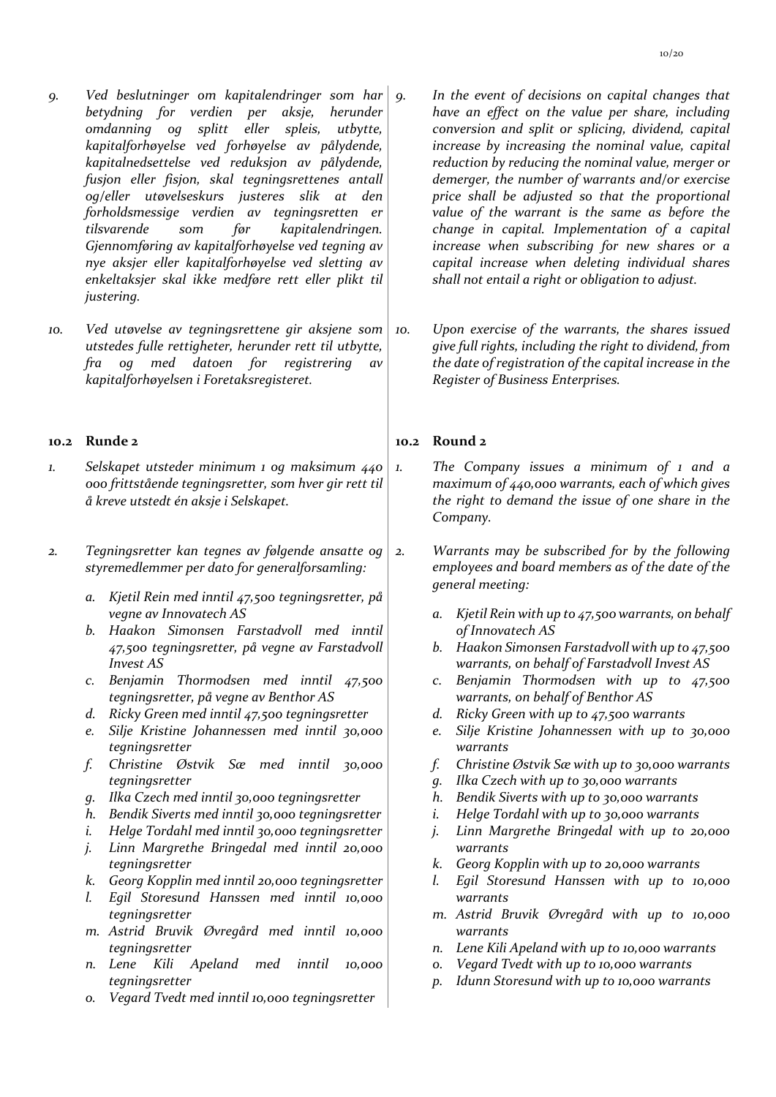- *9. Ved beslutninger om kapitalendringer som har betydning for verdien per aksje, herunder omdanning og splitt eller spleis, utbytte, kapitalforhøyelse ved forhøyelse av pålydende, kapitalnedsettelse ved reduksjon av pålydende, fusjon eller fisjon, skal tegningsrettenes antall og/eller utøvelseskurs justeres slik at den forholdsmessige verdien av tegningsretten er tilsvarende som før kapitalendringen. Gjennomføring av kapitalforhøyelse ved tegning av nye aksjer eller kapitalforhøyelse ved sletting av enkeltaksjer skal ikke medføre rett eller plikt til justering.*
- *10. Ved utøvelse av tegningsrettene gir aksjene som utstedes fulle rettigheter, herunder rett til utbytte, fra og med datoen for registrering av kapitalforhøyelsen i Foretaksregisteret.*

#### **10.2 Runde 2 10.2 Round 2**

- *1. Selskapet utsteder minimum 1 og maksimum 440 000 frittstående tegningsretter, som hver gir rett til å kreve utstedt én aksje i Selskapet.*
- *2. Tegningsretter kan tegnes av følgende ansatte og styremedlemmer per dato for generalforsamling:* 
	- *a. Kjetil Rein med inntil 47,500 tegningsretter, på vegne av Innovatech AS*
	- *b. Haakon Simonsen Farstadvoll med inntil 47,500 tegningsretter, på vegne av Farstadvoll Invest AS*
	- *c. Benjamin Thormodsen med inntil 47,500 tegningsretter, på vegne av Benthor AS*
	- *d. Ricky Green med inntil 47,500 tegningsretter*
	- *e. Silje Kristine Johannessen med inntil 30,000 tegningsretter*
	- *f. Christine Østvik Sæ med inntil 30,000 tegningsretter*
	- *g. Ilka Czech med inntil 30,000 tegningsretter*
	- *h. Bendik Siverts med inntil 30,000 tegningsretter*
	- *i. Helge Tordahl med inntil 30,000 tegningsretter*
	- *j. Linn Margrethe Bringedal med inntil 20,000 tegningsretter*
	- *k. Georg Kopplin med inntil 20,000 tegningsretter*
	- *l. Egil Storesund Hanssen med inntil 10,000 tegningsretter*
	- *m. Astrid Bruvik Øvregård med inntil 10,000 tegningsretter*
	- *n. Lene Kili Apeland med inntil 10,000 tegningsretter*
	- *o. Vegard Tvedt med inntil 10,000 tegningsretter*
- *9. In the event of decisions on capital changes that have an effect on the value per share, including conversion and split or splicing, dividend, capital increase by increasing the nominal value, capital reduction by reducing the nominal value, merger or demerger, the number of warrants and/or exercise price shall be adjusted so that the proportional value of the warrant is the same as before the change in capital. Implementation of a capital increase when subscribing for new shares or a capital increase when deleting individual shares shall not entail a right or obligation to adjust.*
- *10. Upon exercise of the warrants, the shares issued give full rights, including the right to dividend, from the date of registration of the capital increase in the Register of Business Enterprises.*

- *1. The Company issues a minimum of 1 and a maximum of 440,000 warrants, each of which gives the right to demand the issue of one share in the Company.*
- *2. Warrants may be subscribed for by the following employees and board members as of the date of the general meeting:*
	- *a. Kjetil Rein with up to 47,500 warrants, on behalf of Innovatech AS*
	- *b. Haakon Simonsen Farstadvoll with up to 47,500 warrants, on behalf of Farstadvoll Invest AS*
	- *c. Benjamin Thormodsen with up to 47,500 warrants, on behalf of Benthor AS*
	- *d. Ricky Green with up to 47,500 warrants*
	- *e. Silje Kristine Johannessen with up to 30,000 warrants*
	- *f. Christine Østvik Sæ with up to 30,000 warrants*
	- *g. Ilka Czech with up to 30,000 warrants*
	- *h. Bendik Siverts with up to 30,000 warrants*
	- *i. Helge Tordahl with up to 30,000 warrants*
	- *j. Linn Margrethe Bringedal with up to 20,000 warrants*
	- *k. Georg Kopplin with up to 20,000 warrants*
	- *l. Egil Storesund Hanssen with up to 10,000 warrants*
	- *m. Astrid Bruvik Øvregård with up to 10,000 warrants*
	- *n. Lene Kili Apeland with up to 10,000 warrants*
	- *o. Vegard Tvedt with up to 10,000 warrants*
	- *p. Idunn Storesund with up to 10,000 warrants*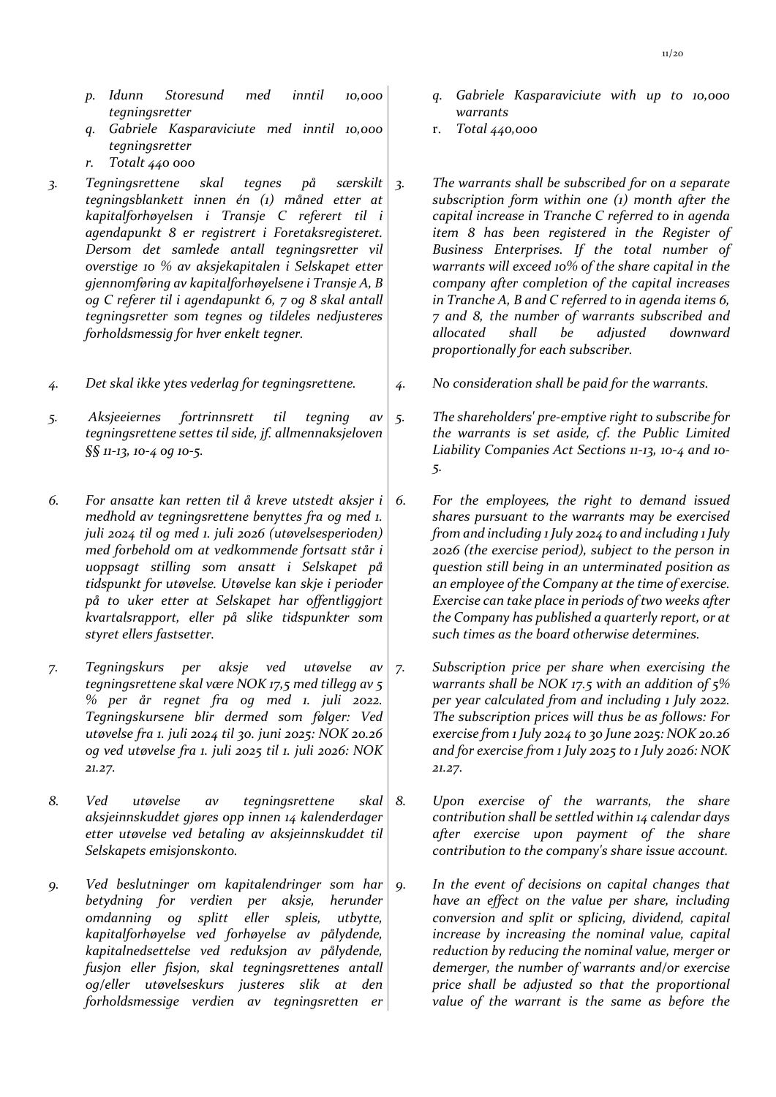- *p. Idunn Storesund med inntil 10,000 tegningsretter*
- *q. Gabriele Kasparaviciute med inntil 10,000 tegningsretter*
- *r. Totalt 440 000*
- *3. Tegningsrettene skal tegnes på særskilt tegningsblankett innen én (1) måned etter at kapitalforhøyelsen i Transje C referert til i agendapunkt 8 er registrert i Foretaksregisteret. Dersom det samlede antall tegningsretter vil overstige 10 % av aksjekapitalen i Selskapet etter gjennomføring av kapitalforhøyelsene i Transje A, B og C referer til i agendapunkt 6, 7 og 8 skal antall tegningsretter som tegnes og tildeles nedjusteres forholdsmessig for hver enkelt tegner.*
- *4. Det skal ikke ytes vederlag for tegningsrettene. 4. No consideration shall be paid for the warrants.*
- *5. Aksjeeiernes fortrinnsrett til tegning av tegningsrettene settes til side, jf. allmennaksjeloven §§ 11-13, 10-4 og 10-5.*
- *6. For ansatte kan retten til å kreve utstedt aksjer i medhold av tegningsrettene benyttes fra og med 1. juli 2024 til og med 1. juli 2026 (utøvelsesperioden) med forbehold om at vedkommende fortsatt står i uoppsagt stilling som ansatt i Selskapet på tidspunkt for utøvelse. Utøvelse kan skje i perioder på to uker etter at Selskapet har offentliggjort kvartalsrapport, eller på slike tidspunkter som styret ellers fastsetter.*
- *7. Tegningskurs per aksje ved utøvelse av tegningsrettene skal være NOK 17,5 med tillegg av 5 % per år regnet fra og med 1. juli 2022. Tegningskursene blir dermed som følger: Ved utøvelse fra 1. juli 2024 til 30. juni 2025: NOK 20.26 og ved utøvelse fra 1. juli 2025 til 1. juli 2026: NOK 21.27.*
- *8. Ved utøvelse av tegningsrettene skal aksjeinnskuddet gjøres opp innen 14 kalenderdager etter utøvelse ved betaling av aksjeinnskuddet til Selskapets emisjonskonto.*
- *9. Ved beslutninger om kapitalendringer som har betydning for verdien per aksje, herunder omdanning og splitt eller spleis, utbytte, kapitalforhøyelse ved forhøyelse av pålydende, kapitalnedsettelse ved reduksjon av pålydende, fusjon eller fisjon, skal tegningsrettenes antall og/eller utøvelseskurs justeres slik at den forholdsmessige verdien av tegningsretten er*
- *q. Gabriele Kasparaviciute with up to 10,000 warrants*
- r. *Total 440,000*
- *3. The warrants shall be subscribed for on a separate subscription form within one (1) month after the capital increase in Tranche C referred to in agenda item 8 has been registered in the Register of Business Enterprises. If the total number of warrants will exceed 10% of the share capital in the company after completion of the capital increases in Tranche A, B and C referred to in agenda items 6, 7 and 8, the number of warrants subscribed and allocated shall be adjusted downward proportionally for each subscriber.*

- *5. The shareholders' pre-emptive right to subscribe for the warrants is set aside, cf. the Public Limited Liability Companies Act Sections 11-13, 10-4 and 10- 5.*
- *6. For the employees, the right to demand issued shares pursuant to the warrants may be exercised from and including 1 July 2024 to and including 1 July 2026 (the exercise period), subject to the person in question still being in an unterminated position as an employee of the Company at the time of exercise. Exercise can take place in periods of two weeks after the Company has published a quarterly report, or at such times as the board otherwise determines.*
- *7. Subscription price per share when exercising the warrants shall be NOK 17.5 with an addition of 5% per year calculated from and including 1 July 2022. The subscription prices will thus be as follows: For exercise from 1 July 2024 to 30 June 2025: NOK 20.26 and for exercise from 1 July 2025 to 1 July 2026: NOK 21.27.*
- *8. Upon exercise of the warrants, the share contribution shall be settled within 14 calendar days after exercise upon payment of the share contribution to the company's share issue account.*
- *9. In the event of decisions on capital changes that have an effect on the value per share, including conversion and split or splicing, dividend, capital increase by increasing the nominal value, capital reduction by reducing the nominal value, merger or demerger, the number of warrants and/or exercise price shall be adjusted so that the proportional value of the warrant is the same as before the*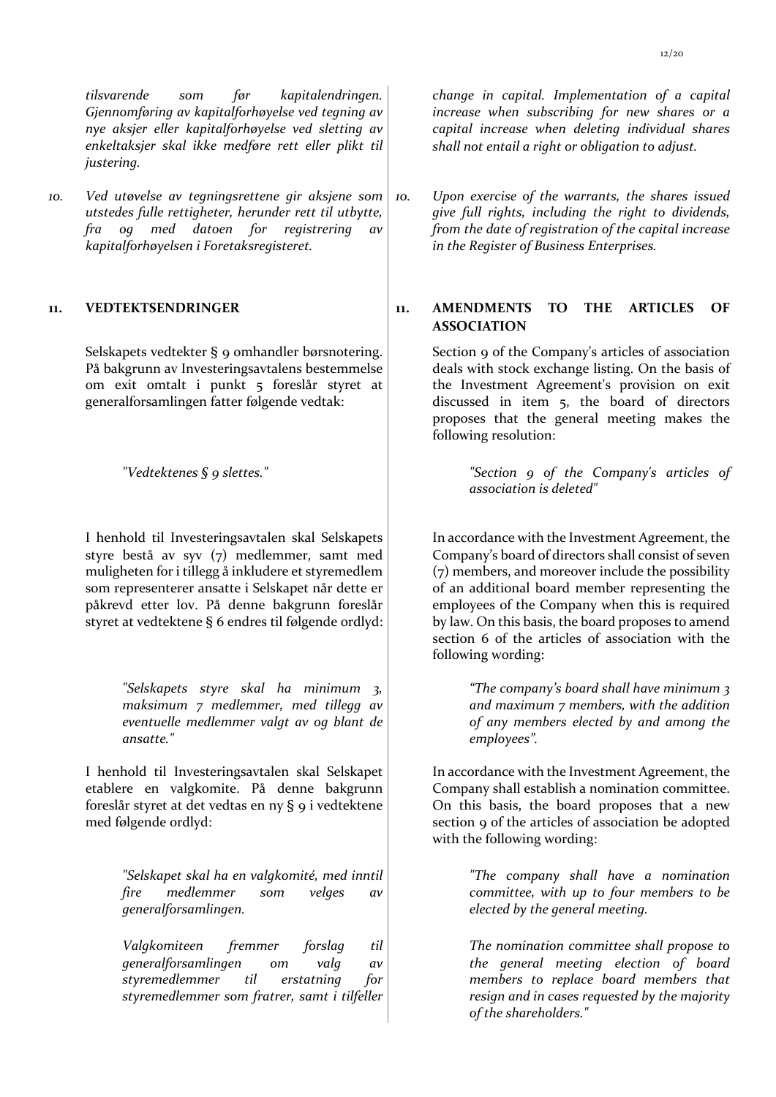*tilsvarende som før kapitalendringen. Gjennomføring av kapitalforhøyelse ved tegning av nye aksjer eller kapitalforhøyelse ved sletting av enkeltaksjer skal ikke medføre rett eller plikt til justering.* 

*10. Ved utøvelse av tegningsrettene gir aksjene som utstedes fulle rettigheter, herunder rett til utbytte, fra og med datoen for registrering av kapitalforhøyelsen i Foretaksregisteret.*

Selskapets vedtekter § 9 omhandler børsnotering. På bakgrunn av Investeringsavtalens bestemmelse om exit omtalt i punkt 5 foreslår styret at generalforsamlingen fatter følgende vedtak:

I henhold til Investeringsavtalen skal Selskapets styre bestå av syv (7) medlemmer, samt med muligheten for i tillegg å inkludere et styremedlem som representerer ansatte i Selskapet når dette er påkrevd etter lov. På denne bakgrunn foreslår styret at vedtektene § 6 endres til følgende ordlyd:

> *"Selskapets styre skal ha minimum 3, maksimum 7 medlemmer, med tillegg av eventuelle medlemmer valgt av og blant de ansatte."*

I henhold til Investeringsavtalen skal Selskapet etablere en valgkomite. På denne bakgrunn foreslår styret at det vedtas en ny § 9 i vedtektene med følgende ordlyd:

> *"Selskapet skal ha en valgkomité, med inntil fire medlemmer som velges av generalforsamlingen.*

> *Valgkomiteen fremmer forslag til generalforsamlingen om valg av styremedlemmer til erstatning for styremedlemmer som fratrer, samt i tilfeller*

*change in capital. Implementation of a capital increase when subscribing for new shares or a capital increase when deleting individual shares shall not entail a right or obligation to adjust.*

*10. Upon exercise of the warrants, the shares issued give full rights, including the right to dividends, from the date of registration of the capital increase in the Register of Business Enterprises.*

**11. VEDTEKTSENDRINGER 11. AMENDMENTS TO THE ARTICLES OF ASSOCIATION**

> Section 9 of the Company's articles of association deals with stock exchange listing. On the basis of the Investment Agreement's provision on exit discussed in item 5, the board of directors proposes that the general meeting makes the following resolution:

*"Vedtektenes § 9 slettes." "Section 9 of the Company's articles of association is deleted"*

> In accordance with the Investment Agreement, the Company's board of directors shall consist of seven (7) members, and moreover include the possibility of an additional board member representing the employees of the Company when this is required by law. On this basis, the board proposes to amend section 6 of the articles of association with the following wording:

> > *"The company's board shall have minimum 3 and maximum 7 members, with the addition of any members elected by and among the employees".*

In accordance with the Investment Agreement, the Company shall establish a nomination committee. On this basis, the board proposes that a new section 9 of the articles of association be adopted with the following wording:

> *"The company shall have a nomination committee, with up to four members to be elected by the general meeting.*

> *The nomination committee shall propose to the general meeting election of board members to replace board members that resign and in cases requested by the majority of the shareholders."*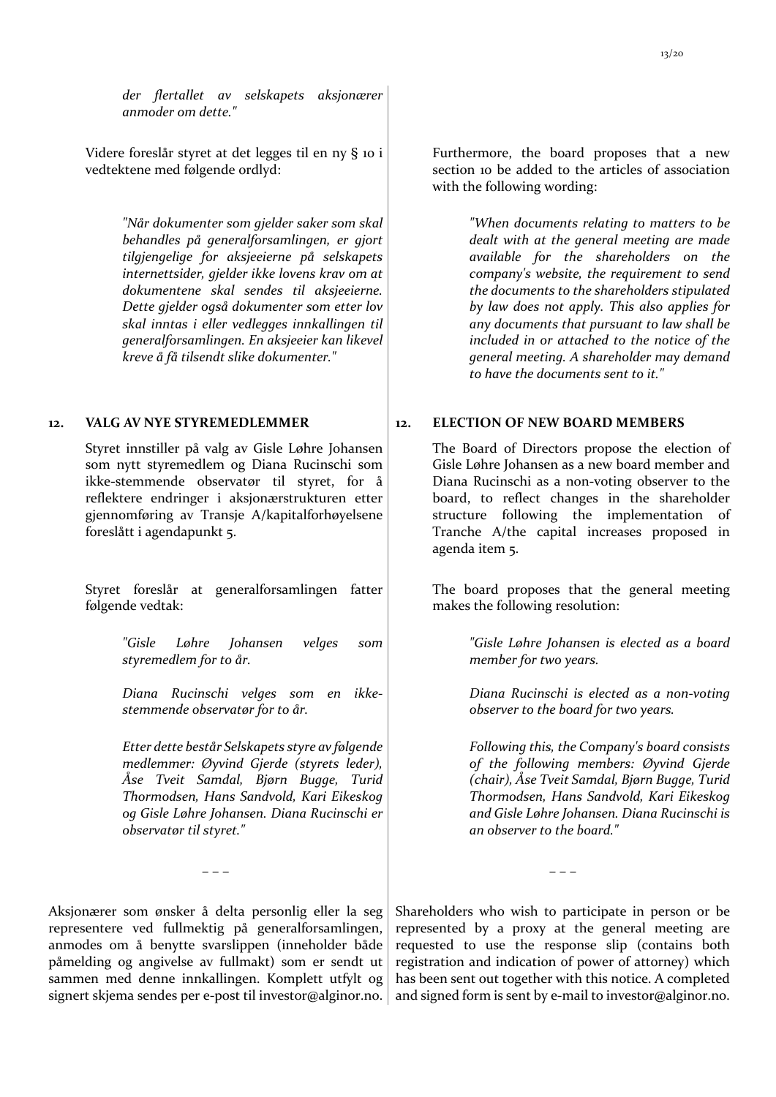Videre foreslår styret at det legges til en ny § 10 i vedtektene med følgende ordlyd:

> *"Når dokumenter som gjelder saker som skal behandles på generalforsamlingen, er gjort tilgjengelige for aksjeeierne på selskapets internettsider, gjelder ikke lovens krav om at dokumentene skal sendes til aksjeeierne. Dette gjelder også dokumenter som etter lov skal inntas i eller vedlegges innkallingen til generalforsamlingen. En aksjeeier kan likevel kreve å få tilsendt slike dokumenter."*

Styret innstiller på valg av Gisle Løhre Johansen som nytt styremedlem og Diana Rucinschi som ikke-stemmende observatør til styret, for å reflektere endringer i aksjonærstrukturen etter gjennomføring av Transje A/kapitalforhøyelsene foreslått i agendapunkt 5.

Styret foreslår at generalforsamlingen fatter følgende vedtak:

> *"Gisle Løhre Johansen velges som styremedlem for to år.*

> *Diana Rucinschi velges som en ikkestemmende observatør for to år.*

*Etter dette består Selskapets styre av følgende medlemmer: Øyvind Gjerde (styrets leder), Åse Tveit Samdal, Bjørn Bugge, Turid Thormodsen, Hans Sandvold, Kari Eikeskog og Gisle Løhre Johansen. Diana Rucinschi er observatør til styret."*

Aksjonærer som ønsker å delta personlig eller la seg representere ved fullmektig på generalforsamlingen, anmodes om å benytte svarslippen (inneholder både påmelding og angivelse av fullmakt) som er sendt ut sammen med denne innkallingen. Komplett utfylt og signert skjema sendes per e-post til investor@alginor.no.

Furthermore, the board proposes that a new section 10 be added to the articles of association with the following wording:

> *"When documents relating to matters to be dealt with at the general meeting are made available for the shareholders on the company's website, the requirement to send the documents to the shareholders stipulated by law does not apply. This also applies for any documents that pursuant to law shall be included in or attached to the notice of the general meeting. A shareholder may demand to have the documents sent to it."*

#### **12. VALG AV NYE STYREMEDLEMMER 12. ELECTION OF NEW BOARD MEMBERS**

The Board of Directors propose the election of Gisle Løhre Johansen as a new board member and Diana Rucinschi as a non-voting observer to the board, to reflect changes in the shareholder structure following the implementation of Tranche A/the capital increases proposed in agenda item 5.

The board proposes that the general meeting makes the following resolution:

> *"Gisle Løhre Johansen is elected as a board member for two years.*

> *Diana Rucinschi is elected as a non-voting observer to the board for two years.*

> *Following this, the Company's board consists of the following members: Øyvind Gjerde (chair), Åse Tveit Samdal, Bjørn Bugge, Turid Thormodsen, Hans Sandvold, Kari Eikeskog and Gisle Løhre Johansen. Diana Rucinschi is an observer to the board."*

– – – – – –

Shareholders who wish to participate in person or be represented by a proxy at the general meeting are requested to use the response slip (contains both registration and indication of power of attorney) which has been sent out together with this notice. A completed and signed form is sent by e-mail to investor@alginor.no.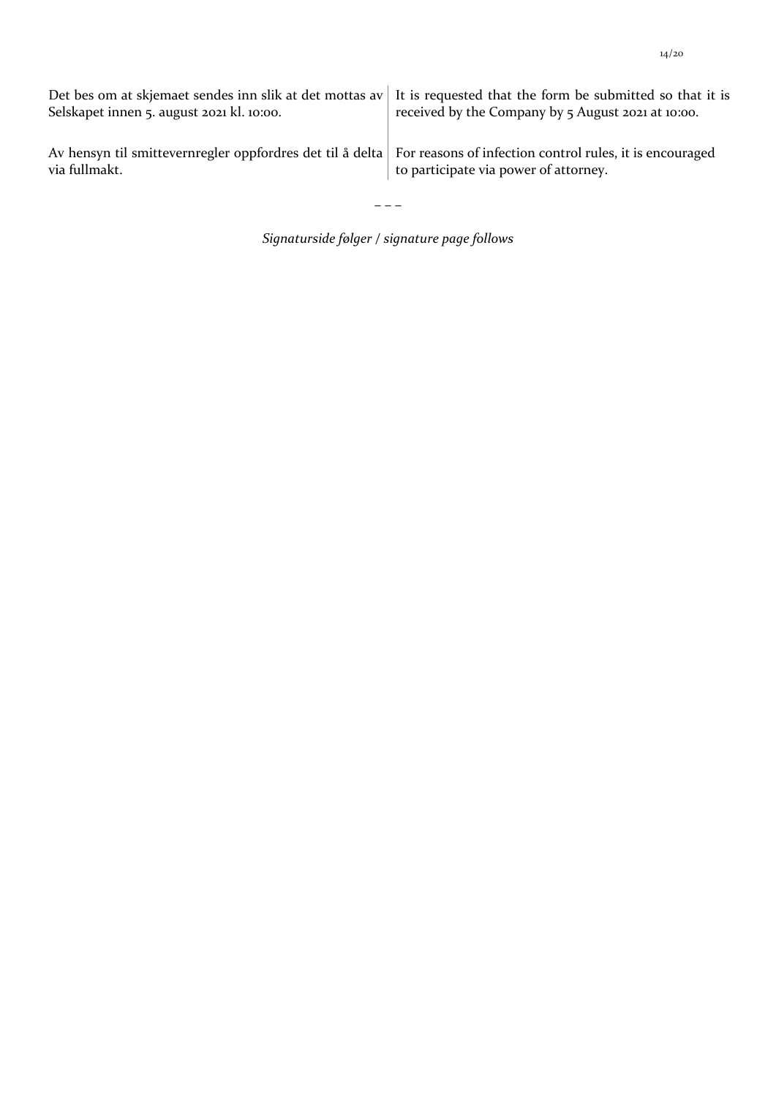| Selskapet innen 5. august 2021 kl. 10:00.                                                                                           | Det bes om at skjemaet sendes inn slik at det mottas av It is requested that the form be submitted so that it is<br>received by the Company by 5 August 2021 at 10:00. |
|-------------------------------------------------------------------------------------------------------------------------------------|------------------------------------------------------------------------------------------------------------------------------------------------------------------------|
| Av hensyn til smittevernregler oppfordres det til å delta For reasons of infection control rules, it is encouraged<br>via fullmakt. | to participate via power of attorney.                                                                                                                                  |

– – –

*Signaturside følger / signature page follows*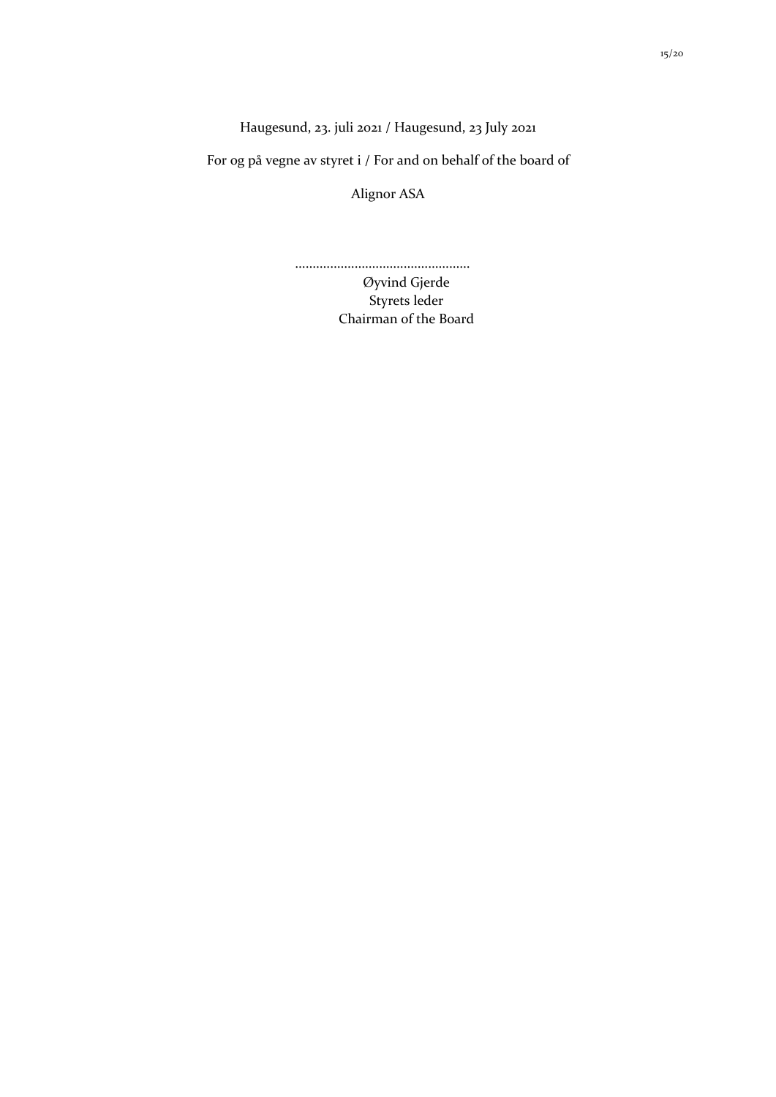Haugesund, 23. juli 2021 / Haugesund, 23 July 2021

For og på vegne av styret i / For and on behalf of the board of

Alignor ASA

..................................................

Øyvind Gjerde Styrets leder Chairman of the Board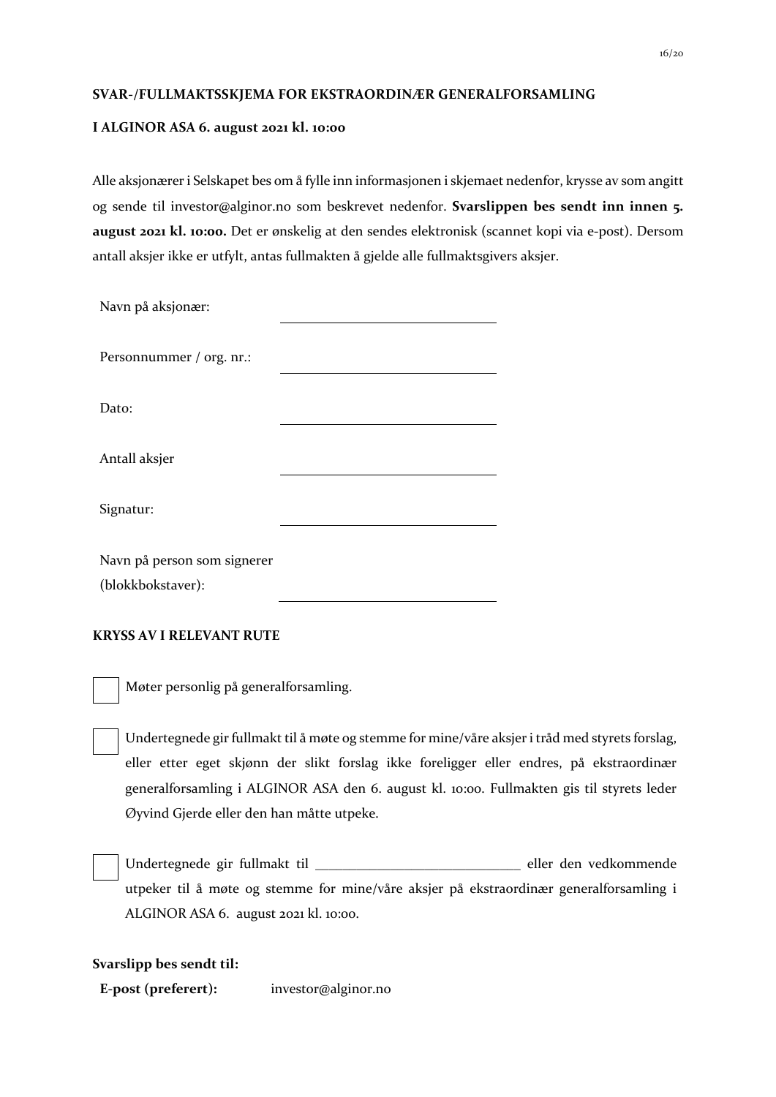### **SVAR-/FULLMAKTSSKJEMA FOR EKSTRAORDINÆR GENERALFORSAMLING**

### **I ALGINOR ASA 6. august 2021 kl. 10:00**

Alle aksjonærer i Selskapet bes om å fylle inn informasjonen i skjemaet nedenfor, krysse av som angitt og sende til investor@alginor.no som beskrevet nedenfor. **Svarslippen bes sendt inn innen 5. august 2021 kl. 10:00.** Det er ønskelig at den sendes elektronisk (scannet kopi via e-post). Dersom antall aksjer ikke er utfylt, antas fullmakten å gjelde alle fullmaktsgivers aksjer.

| Navn på aksjonær:                                |  |
|--------------------------------------------------|--|
| Personnummer / org. nr.:                         |  |
| Dato:                                            |  |
| Antall aksjer                                    |  |
| Signatur:                                        |  |
| Navn på person som signerer<br>(blokkbokstaver): |  |

## **KRYSS AV I RELEVANT RUTE**

Møter personlig på generalforsamling.

Undertegnede gir fullmakt til å møte og stemme for mine/våre aksjer i tråd med styrets forslag, eller etter eget skjønn der slikt forslag ikke foreligger eller endres, på ekstraordinær generalforsamling i ALGINOR ASA den 6. august kl. 10:00. Fullmakten gis til styrets leder Øyvind Gjerde eller den han måtte utpeke.

Undertegnede gir fullmakt til \_\_\_\_\_\_\_\_\_\_\_\_\_\_\_\_\_\_\_\_\_\_\_\_\_\_\_\_\_\_ eller den vedkommende utpeker til å møte og stemme for mine/våre aksjer på ekstraordinær generalforsamling i ALGINOR ASA 6. august 2021 kl. 10:00.

### **Svarslipp bes sendt til:**

**E-post (preferert):** investor@alginor.no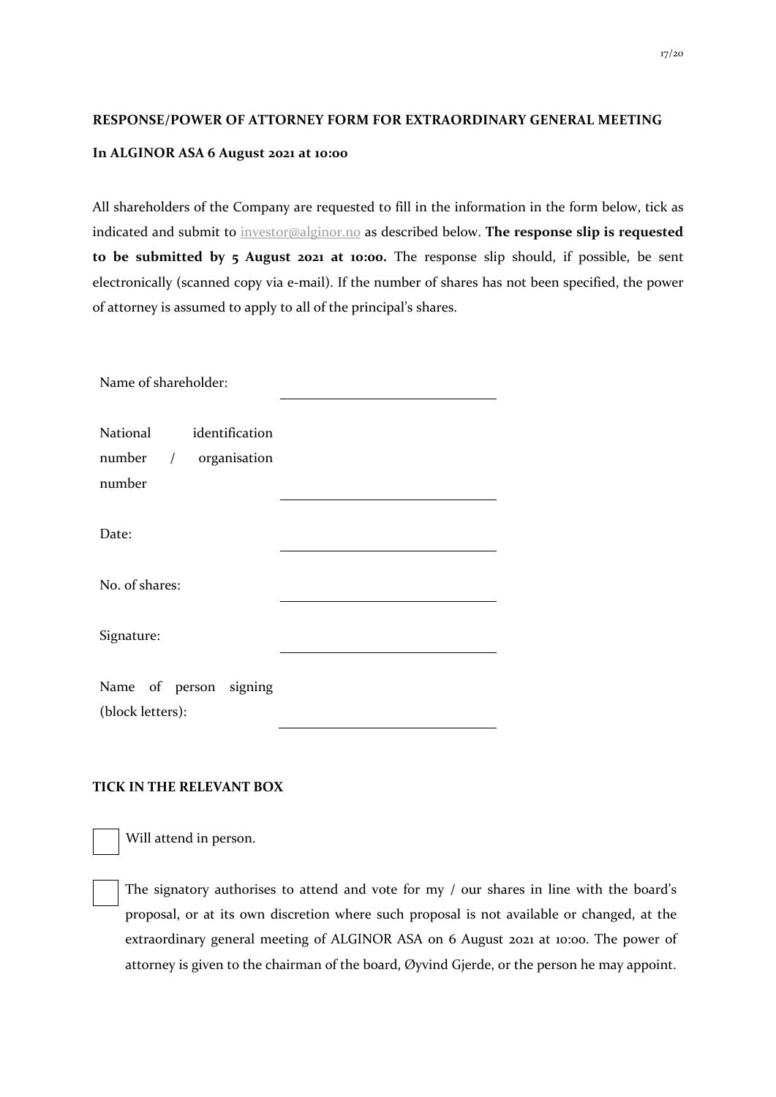#### **RESPONSE/POWER OF ATTORNEY FORM FOR EXTRAORDINARY GENERAL MEETING**

#### **In ALGINOR ASA 6 August 2021 at 10:00**

All shareholders of the Company are requested to fill in the information in the form below, tick as indicated and submit to investor@alginor.no as described below. **The response slip is requested to be submitted by 5 August 2021 at 10:00.** The response slip should, if possible, be sent electronically (scanned copy via e-mail). If the number of shares has not been specified, the power of attorney is assumed to apply to all of the principal's shares.

| Name of shareholder:                                       |  |  |  |  |
|------------------------------------------------------------|--|--|--|--|
| National identification<br>number / organisation<br>number |  |  |  |  |
| Date:                                                      |  |  |  |  |
| No. of shares:                                             |  |  |  |  |
| Signature:                                                 |  |  |  |  |
| Name of person signing<br>(block letters):                 |  |  |  |  |

### **TICK IN THE RELEVANT BOX**

Will attend in person.

The signatory authorises to attend and vote for my / our shares in line with the board's proposal, or at its own discretion where such proposal is not available or changed, at the extraordinary general meeting of ALGINOR ASA on 6 August 2021 at 10:00. The power of attorney is given to the chairman of the board, Øyvind Gjerde, or the person he may appoint.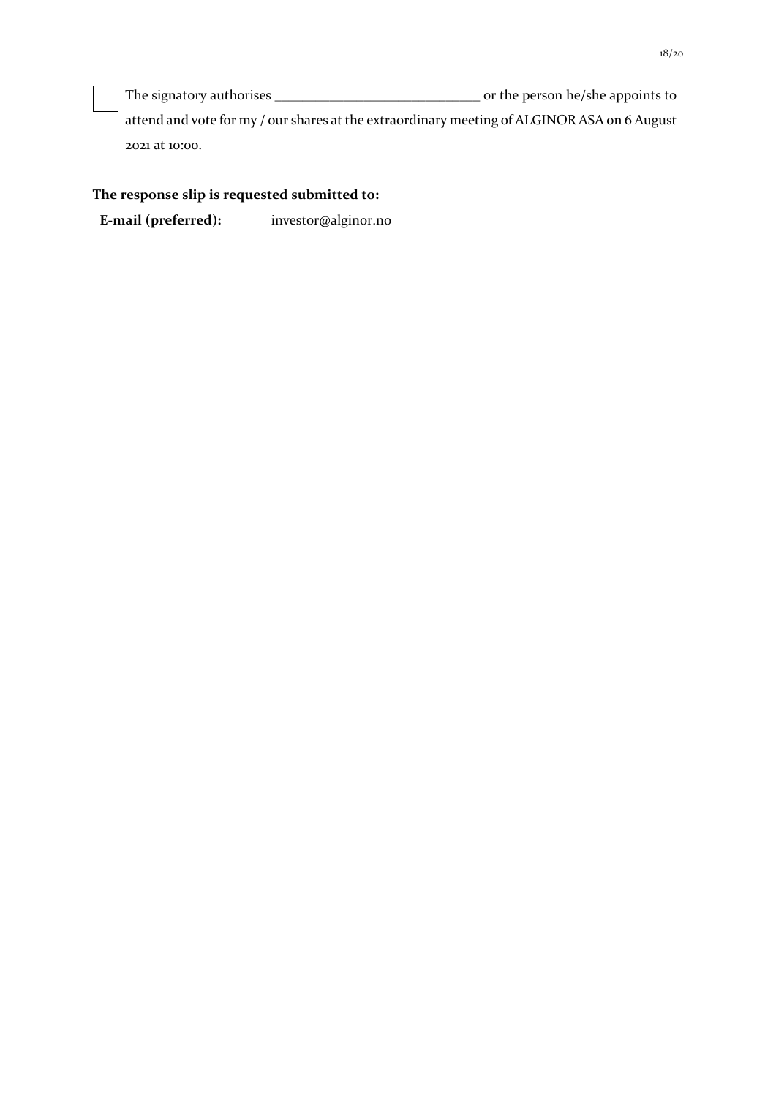The signatory authorises \_\_\_\_\_\_\_\_\_\_\_\_\_\_\_\_\_\_\_\_\_\_\_\_\_\_\_\_\_\_ or the person he/she appoints to

attend and vote for my / our shares at the extraordinary meeting of ALGINOR ASA on 6 August 2021 at 10:00.

## **The response slip is requested submitted to:**

**E-mail (preferred):** investor@alginor.no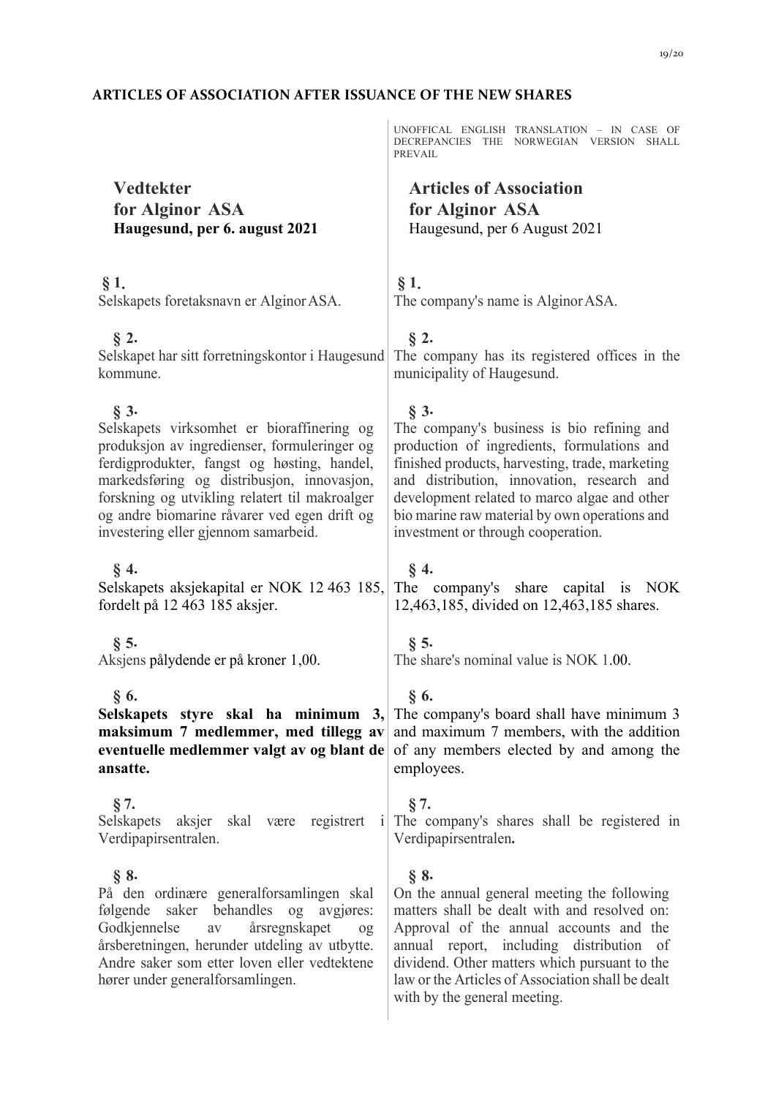# **ARTICLES OF ASSOCIATION AFTER ISSUANCE OF THE NEW SHARES**

|                                                                                                                                                                                                                                                                                                                                              | UNOFFICAL ENGLISH TRANSLATION - IN CASE OF<br>DECREPANCIES THE NORWEGIAN VERSION SHALL<br>PREVAIL                                                                                                                                                                                                                                            |
|----------------------------------------------------------------------------------------------------------------------------------------------------------------------------------------------------------------------------------------------------------------------------------------------------------------------------------------------|----------------------------------------------------------------------------------------------------------------------------------------------------------------------------------------------------------------------------------------------------------------------------------------------------------------------------------------------|
| <b>Vedtekter</b>                                                                                                                                                                                                                                                                                                                             | <b>Articles of Association</b>                                                                                                                                                                                                                                                                                                               |
| for Alginor ASA                                                                                                                                                                                                                                                                                                                              | for Alginor ASA                                                                                                                                                                                                                                                                                                                              |
| Haugesund, per 6. august 2021                                                                                                                                                                                                                                                                                                                | Haugesund, per 6 August 2021                                                                                                                                                                                                                                                                                                                 |
|                                                                                                                                                                                                                                                                                                                                              |                                                                                                                                                                                                                                                                                                                                              |
| § 1.<br>Selskapets foretaksnavn er Alginor ASA.                                                                                                                                                                                                                                                                                              | § 1.<br>The company's name is Alginor ASA.                                                                                                                                                                                                                                                                                                   |
| $\S$ 2.<br>Selskapet har sitt forretningskontor i Haugesund<br>kommune.                                                                                                                                                                                                                                                                      | $\S$ 2.<br>The company has its registered offices in the<br>municipality of Haugesund.                                                                                                                                                                                                                                                       |
| $\S$ 3.<br>Selskapets virksomhet er bioraffinering og<br>produksjon av ingredienser, formuleringer og<br>ferdigprodukter, fangst og høsting, handel,<br>markedsføring og distribusjon, innovasjon,<br>forskning og utvikling relatert til makroalger<br>og andre biomarine råvarer ved egen drift og<br>investering eller gjennom samarbeid. | $\S$ 3.<br>The company's business is bio refining and<br>production of ingredients, formulations and<br>finished products, harvesting, trade, marketing<br>and distribution, innovation, research and<br>development related to marco algae and other<br>bio marine raw material by own operations and<br>investment or through cooperation. |
| $\S$ 4.<br>Selskapets aksjekapital er NOK 12 463 185,<br>fordelt på 12 463 185 aksjer.                                                                                                                                                                                                                                                       | $\S$ 4.<br>The company's share capital is NOK<br>12,463,185, divided on 12,463,185 shares.                                                                                                                                                                                                                                                   |
| $\S$ 5.<br>Aksjens pålydende er på kroner 1,00.                                                                                                                                                                                                                                                                                              | $\S$ 5.<br>The share's nominal value is NOK 1.00.                                                                                                                                                                                                                                                                                            |
| § 6.<br>maksimum 7 medlemmer, med tillegg av<br>eventuelle medlemmer valgt av og blant de<br>ansatte.                                                                                                                                                                                                                                        | §6.<br><b>Selskapets</b> styre skal ha minimum $3$ , The company's board shall have minimum 3<br>and maximum 7 members, with the addition<br>of any members elected by and among the<br>employees.                                                                                                                                           |
| § 7.<br>Verdipapirsentralen.                                                                                                                                                                                                                                                                                                                 | § 7.<br>Selskapets aksjer skal være registrert i The company's shares shall be registered in<br>Verdipapirsentralen.                                                                                                                                                                                                                         |
| $\S$ 8.<br>På den ordinære generalforsamlingen skal<br>følgende saker behandles og avgjøres:<br>Godkjennelse<br>årsregnskapet<br>av<br>$^{0}$<br>årsberetningen, herunder utdeling av utbytte.<br>Andre saker som etter loven eller vedtektene<br>hører under generalforsamlingen.                                                           | $\S$ 8.<br>On the annual general meeting the following<br>matters shall be dealt with and resolved on:<br>Approval of the annual accounts and the<br>annual report, including distribution of<br>dividend. Other matters which pursuant to the<br>law or the Articles of Association shall be dealt<br>with by the general meeting.          |
|                                                                                                                                                                                                                                                                                                                                              |                                                                                                                                                                                                                                                                                                                                              |